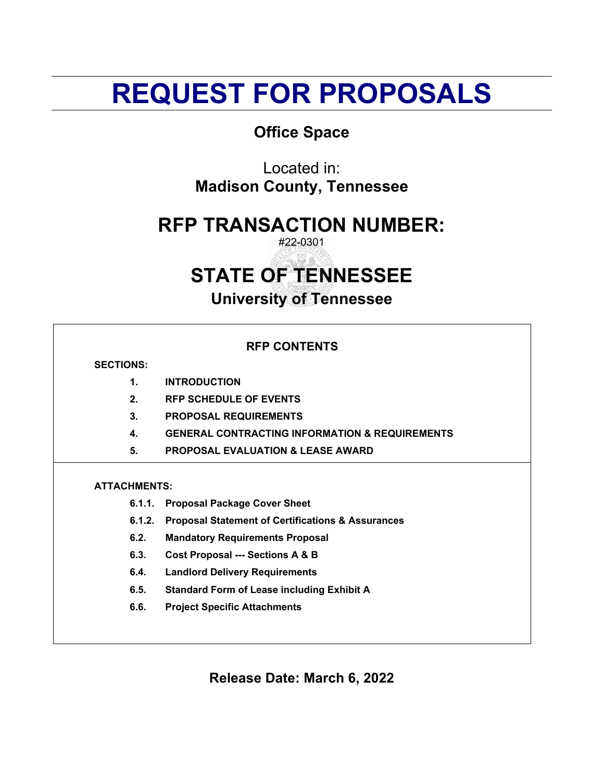# **REQUEST FOR PROPOSALS**

## **Office Space**

Located in: **Madison County, Tennessee**

# **RFP TRANSACTION NUMBER:**

#22-0301

# **STATE OF TENNESSEE**

**University of Tennessee**

|                     | <b>RFP CONTENTS</b>                                          |
|---------------------|--------------------------------------------------------------|
| <b>SECTIONS:</b>    |                                                              |
| $\mathbf 1$         | <b>INTRODUCTION</b>                                          |
| 2.                  | <b>RFP SCHEDULE OF EVENTS</b>                                |
| 3.                  | <b>PROPOSAL REQUIREMENTS</b>                                 |
| 4.                  | <b>GENERAL CONTRACTING INFORMATION &amp; REQUIREMENTS</b>    |
| 5.                  | <b>PROPOSAL EVALUATION &amp; LEASE AWARD</b>                 |
| <b>ATTACHMENTS:</b> |                                                              |
| 6.1.1.              | <b>Proposal Package Cover Sheet</b>                          |
| 6.1.2.              | <b>Proposal Statement of Certifications &amp; Assurances</b> |
| 6.2.                | <b>Mandatory Requirements Proposal</b>                       |
| 6.3.                | <b>Cost Proposal --- Sections A &amp; B</b>                  |
| 6.4.                | <b>Landlord Delivery Requirements</b>                        |
| 6.5.                | <b>Standard Form of Lease including Exhibit A</b>            |
| 6.6.                | <b>Project Specific Attachments</b>                          |
|                     |                                                              |

**Release Date: March 6, 2022**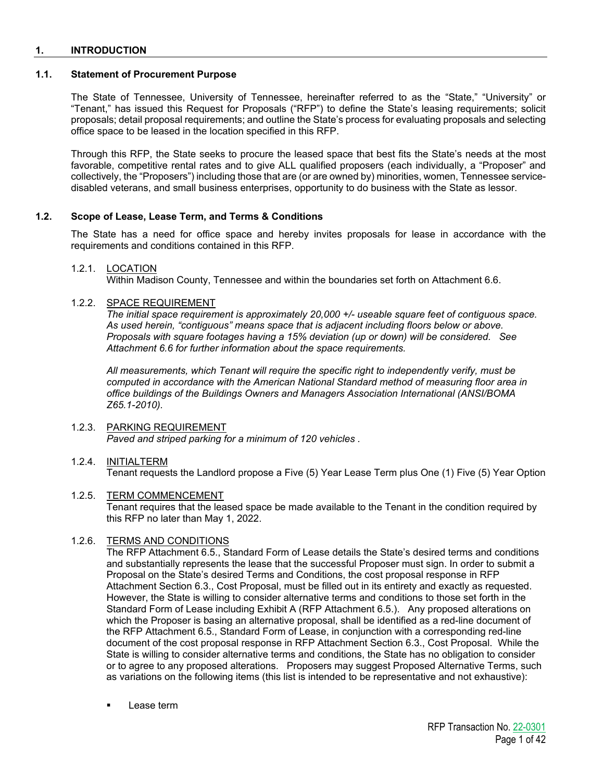## **1. INTRODUCTION**

## **1.1. Statement of Procurement Purpose**

The State of Tennessee, University of Tennessee, hereinafter referred to as the "State," "University" or "Tenant," has issued this Request for Proposals ("RFP") to define the State's leasing requirements; solicit proposals; detail proposal requirements; and outline the State's process for evaluating proposals and selecting office space to be leased in the location specified in this RFP.

Through this RFP, the State seeks to procure the leased space that best fits the State's needs at the most favorable, competitive rental rates and to give ALL qualified proposers (each individually, a "Proposer" and collectively, the "Proposers") including those that are (or are owned by) minorities, women, Tennessee servicedisabled veterans, and small business enterprises, opportunity to do business with the State as lessor.

## **1.2. Scope of Lease, Lease Term, and Terms & Conditions**

The State has a need for office space and hereby invites proposals for lease in accordance with the requirements and conditions contained in this RFP.

## 1.2.1. LOCATION

Within Madison County, Tennessee and within the boundaries set forth on Attachment 6.6.

## 1.2.2. SPACE REQUIREMENT

*The initial space requirement is approximately 20,000 +/- useable square feet of contiguous space. As used herein, "contiguous" means space that is adjacent including floors below or above. Proposals with square footages having a 15% deviation (up or down) will be considered. See Attachment 6.6 for further information about the space requirements.* 

*All measurements, which Tenant will require the specific right to independently verify, must be computed in accordance with the American National Standard method of measuring floor area in office buildings of the Buildings Owners and Managers Association International (ANSI/BOMA Z65.1-2010).* 

## 1.2.3. PARKING REQUIREMENT

*Paved and striped parking for a minimum of 120 vehicles .*

## 1.2.4. INITIALTERM

Tenant requests the Landlord propose a Five (5) Year Lease Term plus One (1) Five (5) Year Option

## 1.2.5. TERM COMMENCEMENT

Tenant requires that the leased space be made available to the Tenant in the condition required by this RFP no later than May 1, 2022.

## 1.2.6. TERMS AND CONDITIONS

The RFP Attachment 6.5., Standard Form of Lease details the State's desired terms and conditions and substantially represents the lease that the successful Proposer must sign. In order to submit a Proposal on the State's desired Terms and Conditions, the cost proposal response in RFP Attachment Section 6.3., Cost Proposal, must be filled out in its entirety and exactly as requested. However, the State is willing to consider alternative terms and conditions to those set forth in the Standard Form of Lease including Exhibit A (RFP Attachment 6.5.). Any proposed alterations on which the Proposer is basing an alternative proposal, shall be identified as a red-line document of the RFP Attachment 6.5., Standard Form of Lease, in conjunction with a corresponding red-line document of the cost proposal response in RFP Attachment Section 6.3., Cost Proposal. While the State is willing to consider alternative terms and conditions, the State has no obligation to consider or to agree to any proposed alterations. Proposers may suggest Proposed Alternative Terms, such as variations on the following items (this list is intended to be representative and not exhaustive):

Lease term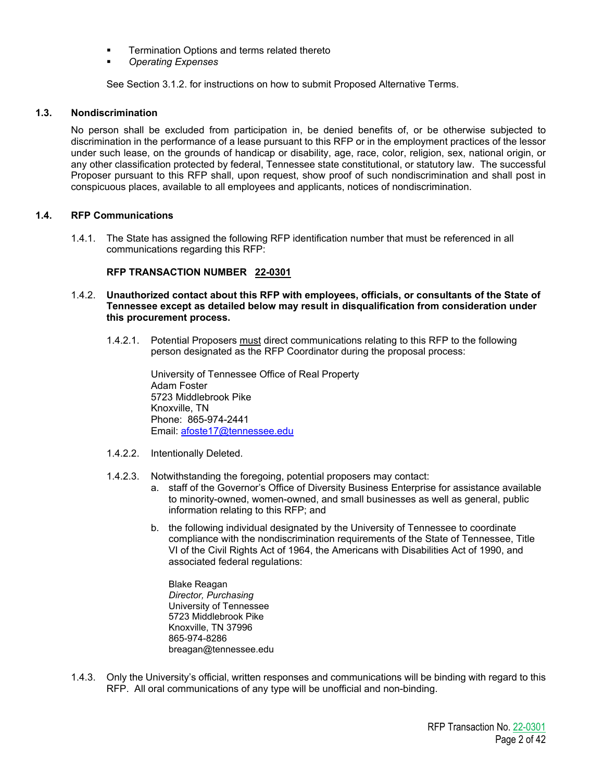- **Termination Options and terms related thereto**
- *Operating Expenses*

See Section 3.1.2. for instructions on how to submit Proposed Alternative Terms.

## **1.3. Nondiscrimination**

No person shall be excluded from participation in, be denied benefits of, or be otherwise subjected to discrimination in the performance of a lease pursuant to this RFP or in the employment practices of the lessor under such lease, on the grounds of handicap or disability, age, race, color, religion, sex, national origin, or any other classification protected by federal, Tennessee state constitutional, or statutory law. The successful Proposer pursuant to this RFP shall, upon request, show proof of such nondiscrimination and shall post in conspicuous places, available to all employees and applicants, notices of nondiscrimination.

## **1.4. RFP Communications**

1.4.1. The State has assigned the following RFP identification number that must be referenced in all communications regarding this RFP:

## **RFP TRANSACTION NUMBER 22-0301**

- 1.4.2. **Unauthorized contact about this RFP with employees, officials, or consultants of the State of Tennessee except as detailed below may result in disqualification from consideration under this procurement process.**
	- 1.4.2.1. Potential Proposers must direct communications relating to this RFP to the following person designated as the RFP Coordinator during the proposal process:

University of Tennessee Office of Real Property Adam Foster 5723 Middlebrook Pike Knoxville, TN Phone: 865-974-2441 Email: [afoste17@tennessee.edu](mailto:afoste17@tennessee.edu)

- 1.4.2.2. Intentionally Deleted.
- 1.4.2.3. Notwithstanding the foregoing, potential proposers may contact:
	- a. staff of the Governor's Office of Diversity Business Enterprise for assistance available to minority-owned, women-owned, and small businesses as well as general, public information relating to this RFP; and
	- b. the following individual designated by the University of Tennessee to coordinate compliance with the nondiscrimination requirements of the State of Tennessee, Title VI of the Civil Rights Act of 1964, the Americans with Disabilities Act of 1990, and associated federal regulations:

Blake Reagan *Director, Purchasing* University of Tennessee 5723 Middlebrook Pike Knoxville, TN 37996 865-974-8286 breagan@tennessee.edu

1.4.3. Only the University's official, written responses and communications will be binding with regard to this RFP. All oral communications of any type will be unofficial and non-binding.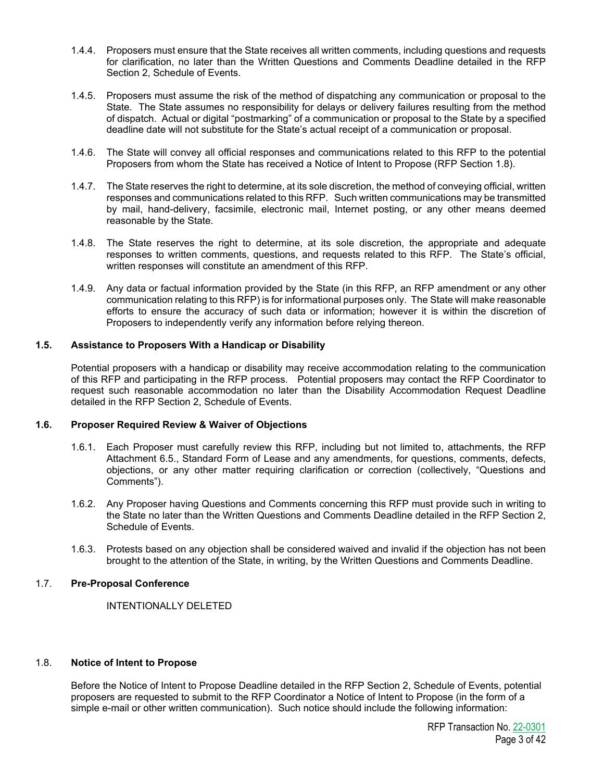- 1.4.4. Proposers must ensure that the State receives all written comments, including questions and requests for clarification, no later than the Written Questions and Comments Deadline detailed in the RFP Section 2, Schedule of Events.
- 1.4.5. Proposers must assume the risk of the method of dispatching any communication or proposal to the State. The State assumes no responsibility for delays or delivery failures resulting from the method of dispatch. Actual or digital "postmarking" of a communication or proposal to the State by a specified deadline date will not substitute for the State's actual receipt of a communication or proposal.
- 1.4.6. The State will convey all official responses and communications related to this RFP to the potential Proposers from whom the State has received a Notice of Intent to Propose (RFP Section 1.8).
- 1.4.7. The State reserves the right to determine, at its sole discretion, the method of conveying official, written responses and communications related to this RFP. Such written communications may be transmitted by mail, hand-delivery, facsimile, electronic mail, Internet posting, or any other means deemed reasonable by the State.
- 1.4.8. The State reserves the right to determine, at its sole discretion, the appropriate and adequate responses to written comments, questions, and requests related to this RFP. The State's official, written responses will constitute an amendment of this RFP.
- 1.4.9. Any data or factual information provided by the State (in this RFP, an RFP amendment or any other communication relating to this RFP) is for informational purposes only. The State will make reasonable efforts to ensure the accuracy of such data or information; however it is within the discretion of Proposers to independently verify any information before relying thereon.

## **1.5. Assistance to Proposers With a Handicap or Disability**

Potential proposers with a handicap or disability may receive accommodation relating to the communication of this RFP and participating in the RFP process. Potential proposers may contact the RFP Coordinator to request such reasonable accommodation no later than the Disability Accommodation Request Deadline detailed in the RFP Section 2, Schedule of Events.

## **1.6. Proposer Required Review & Waiver of Objections**

- 1.6.1. Each Proposer must carefully review this RFP, including but not limited to, attachments, the RFP Attachment 6.5., Standard Form of Lease and any amendments, for questions, comments, defects, objections, or any other matter requiring clarification or correction (collectively, "Questions and Comments").
- 1.6.2. Any Proposer having Questions and Comments concerning this RFP must provide such in writing to the State no later than the Written Questions and Comments Deadline detailed in the RFP Section 2, Schedule of Events.
- 1.6.3. Protests based on any objection shall be considered waived and invalid if the objection has not been brought to the attention of the State, in writing, by the Written Questions and Comments Deadline.

## 1.7. **Pre-Proposal Conference**

INTENTIONALLY DELETED

## 1.8. **Notice of Intent to Propose**

Before the Notice of Intent to Propose Deadline detailed in the RFP Section 2, Schedule of Events, potential proposers are requested to submit to the RFP Coordinator a Notice of Intent to Propose (in the form of a simple e-mail or other written communication). Such notice should include the following information: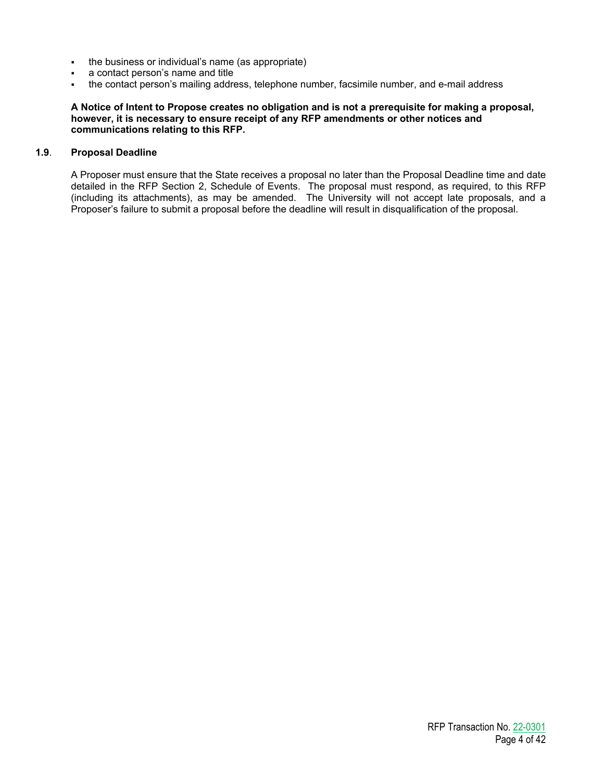- . the business or individual's name (as appropriate)
- a contact person's name and title
- the contact person's mailing address, telephone number, facsimile number, and e-mail address

## **A Notice of Intent to Propose creates no obligation and is not a prerequisite for making a proposal, however, it is necessary to ensure receipt of any RFP amendments or other notices and communications relating to this RFP.**

## **1.9**. **Proposal Deadline**

A Proposer must ensure that the State receives a proposal no later than the Proposal Deadline time and date detailed in the RFP Section 2, Schedule of Events. The proposal must respond, as required, to this RFP (including its attachments), as may be amended. The University will not accept late proposals, and a Proposer's failure to submit a proposal before the deadline will result in disqualification of the proposal.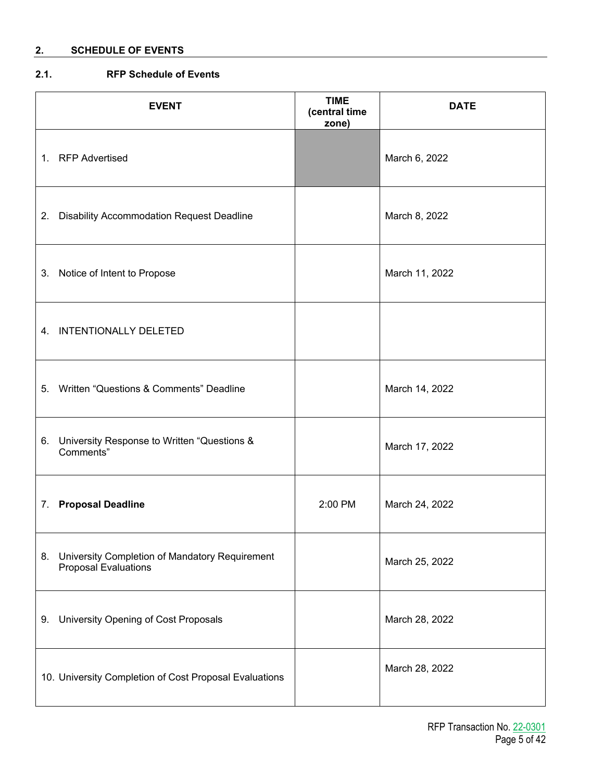## **2. SCHEDULE OF EVENTS**

## **2.1. RFP Schedule of Events**

| <b>EVENT</b>                                                                     | <b>TIME</b><br>(central time<br>zone) | <b>DATE</b>    |
|----------------------------------------------------------------------------------|---------------------------------------|----------------|
| 1. RFP Advertised                                                                |                                       | March 6, 2022  |
| 2. Disability Accommodation Request Deadline                                     |                                       | March 8, 2022  |
| 3.<br>Notice of Intent to Propose                                                |                                       | March 11, 2022 |
| 4. INTENTIONALLY DELETED                                                         |                                       |                |
| Written "Questions & Comments" Deadline<br>5 <sub>1</sub>                        |                                       | March 14, 2022 |
| 6. University Response to Written "Questions &<br>Comments"                      |                                       | March 17, 2022 |
| <b>Proposal Deadline</b><br>7.                                                   | 2:00 PM                               | March 24, 2022 |
| 8. University Completion of Mandatory Requirement<br><b>Proposal Evaluations</b> |                                       | March 25, 2022 |
| University Opening of Cost Proposals<br>9.                                       |                                       | March 28, 2022 |
| 10. University Completion of Cost Proposal Evaluations                           |                                       | March 28, 2022 |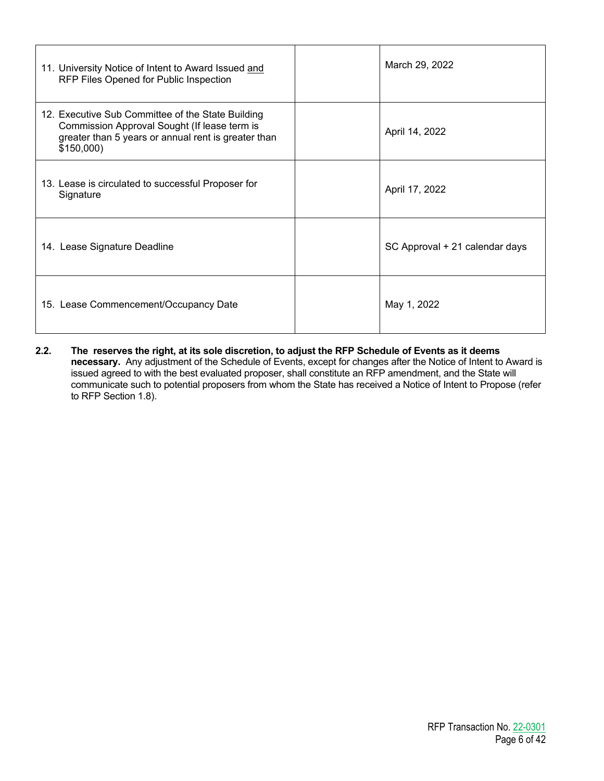| 11. University Notice of Intent to Award Issued and<br>RFP Files Opened for Public Inspection                                                                         | March 29, 2022                 |
|-----------------------------------------------------------------------------------------------------------------------------------------------------------------------|--------------------------------|
| 12. Executive Sub Committee of the State Building<br>Commission Approval Sought (If lease term is<br>greater than 5 years or annual rent is greater than<br>\$150,000 | April 14, 2022                 |
| 13. Lease is circulated to successful Proposer for<br>Signature                                                                                                       | April 17, 2022                 |
| 14. Lease Signature Deadline                                                                                                                                          | SC Approval + 21 calendar days |
| 15. Lease Commencement/Occupancy Date                                                                                                                                 | May 1, 2022                    |

**2.2. The reserves the right, at its sole discretion, to adjust the RFP Schedule of Events as it deems necessary.** Any adjustment of the Schedule of Events, except for changes after the Notice of Intent to Award is issued agreed to with the best evaluated proposer, shall constitute an RFP amendment, and the State will communicate such to potential proposers from whom the State has received a Notice of Intent to Propose (refer to RFP Section 1.8).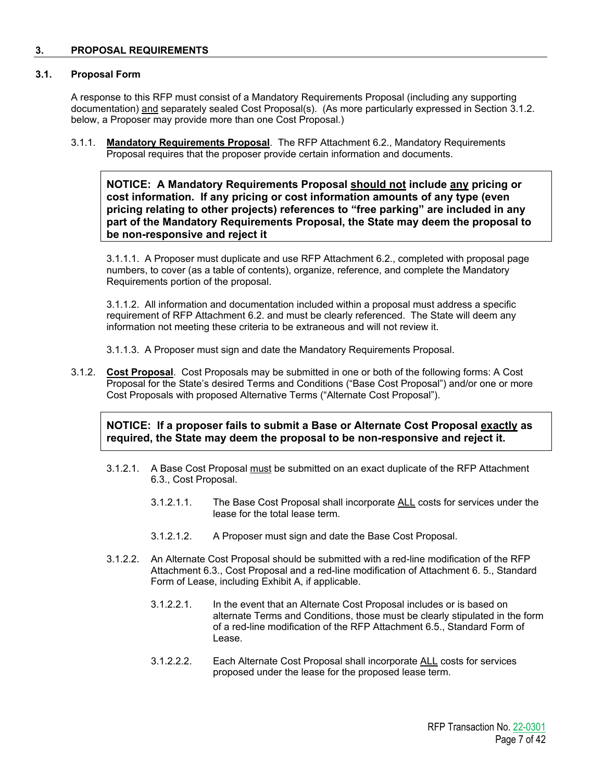## **3. PROPOSAL REQUIREMENTS**

## **3.1. Proposal Form**

A response to this RFP must consist of a Mandatory Requirements Proposal (including any supporting documentation) and separately sealed Cost Proposal(s). (As more particularly expressed in Section 3.1.2. below, a Proposer may provide more than one Cost Proposal.)

3.1.1. **Mandatory Requirements Proposal**. The RFP Attachment 6.2., Mandatory Requirements Proposal requires that the proposer provide certain information and documents.

**NOTICE: A Mandatory Requirements Proposal should not include any pricing or cost information. If any pricing or cost information amounts of any type (even pricing relating to other projects) references to "free parking" are included in any part of the Mandatory Requirements Proposal, the State may deem the proposal to be non-responsive and reject it**

3.1.1.1. A Proposer must duplicate and use RFP Attachment 6.2., completed with proposal page numbers, to cover (as a table of contents), organize, reference, and complete the Mandatory Requirements portion of the proposal.

3.1.1.2. All information and documentation included within a proposal must address a specific requirement of RFP Attachment 6.2. and must be clearly referenced. The State will deem any information not meeting these criteria to be extraneous and will not review it.

3.1.1.3. A Proposer must sign and date the Mandatory Requirements Proposal.

3.1.2. **Cost Proposal**. Cost Proposals may be submitted in one or both of the following forms: A Cost Proposal for the State's desired Terms and Conditions ("Base Cost Proposal") and/or one or more Cost Proposals with proposed Alternative Terms ("Alternate Cost Proposal").

**NOTICE: If a proposer fails to submit a Base or Alternate Cost Proposal exactly as required, the State may deem the proposal to be non-responsive and reject it.**

- 3.1.2.1. A Base Cost Proposal must be submitted on an exact duplicate of the RFP Attachment 6.3., Cost Proposal.
	- 3.1.2.1.1. The Base Cost Proposal shall incorporate ALL costs for services under the lease for the total lease term.
	- 3.1.2.1.2. A Proposer must sign and date the Base Cost Proposal.
- 3.1.2.2. An Alternate Cost Proposal should be submitted with a red-line modification of the RFP Attachment 6.3., Cost Proposal and a red-line modification of Attachment 6. 5., Standard Form of Lease, including Exhibit A, if applicable.
	- 3.1.2.2.1. In the event that an Alternate Cost Proposal includes or is based on alternate Terms and Conditions, those must be clearly stipulated in the form of a red-line modification of the RFP Attachment 6.5., Standard Form of Lease.
	- 3.1.2.2.2. Each Alternate Cost Proposal shall incorporate ALL costs for services proposed under the lease for the proposed lease term.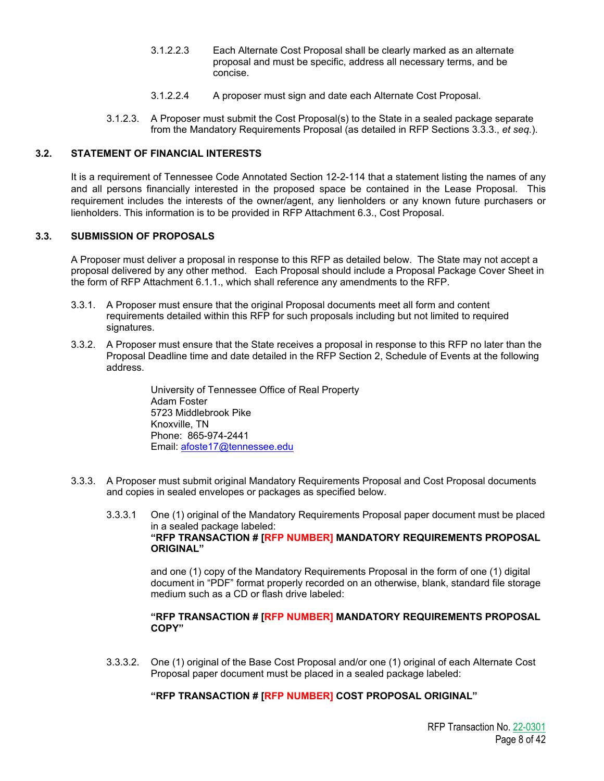- 3.1.2.2.3 Each Alternate Cost Proposal shall be clearly marked as an alternate proposal and must be specific, address all necessary terms, and be concise.
- 3.1.2.2.4 A proposer must sign and date each Alternate Cost Proposal.
- 3.1.2.3. A Proposer must submit the Cost Proposal(s) to the State in a sealed package separate from the Mandatory Requirements Proposal (as detailed in RFP Sections 3.3.3., *et seq.*).

## **3.2. STATEMENT OF FINANCIAL INTERESTS**

It is a requirement of Tennessee Code Annotated Section 12-2-114 that a statement listing the names of any and all persons financially interested in the proposed space be contained in the Lease Proposal. This requirement includes the interests of the owner/agent, any lienholders or any known future purchasers or lienholders. This information is to be provided in RFP Attachment 6.3., Cost Proposal.

## **3.3. SUBMISSION OF PROPOSALS**

A Proposer must deliver a proposal in response to this RFP as detailed below. The State may not accept a proposal delivered by any other method. Each Proposal should include a Proposal Package Cover Sheet in the form of RFP Attachment 6.1.1., which shall reference any amendments to the RFP.

- 3.3.1. A Proposer must ensure that the original Proposal documents meet all form and content requirements detailed within this RFP for such proposals including but not limited to required signatures.
- 3.3.2. A Proposer must ensure that the State receives a proposal in response to this RFP no later than the Proposal Deadline time and date detailed in the RFP Section 2, Schedule of Events at the following address.

University of Tennessee Office of Real Property Adam Foster 5723 Middlebrook Pike Knoxville, TN Phone: 865-974-2441 Email: [afoste17@tennessee.edu](mailto:afoste17@tennessee.edu)

- 3.3.3. A Proposer must submit original Mandatory Requirements Proposal and Cost Proposal documents and copies in sealed envelopes or packages as specified below.
	- 3.3.3.1 One (1) original of the Mandatory Requirements Proposal paper document must be placed in a sealed package labeled: **"RFP TRANSACTION # [RFP NUMBER] MANDATORY REQUIREMENTS PROPOSAL ORIGINAL"**

and one (1) copy of the Mandatory Requirements Proposal in the form of one (1) digital document in "PDF" format properly recorded on an otherwise, blank, standard file storage medium such as a CD or flash drive labeled:

## **"RFP TRANSACTION # [RFP NUMBER] MANDATORY REQUIREMENTS PROPOSAL COPY"**

3.3.3.2. One (1) original of the Base Cost Proposal and/or one (1) original of each Alternate Cost Proposal paper document must be placed in a sealed package labeled:

## **"RFP TRANSACTION # [RFP NUMBER] COST PROPOSAL ORIGINAL"**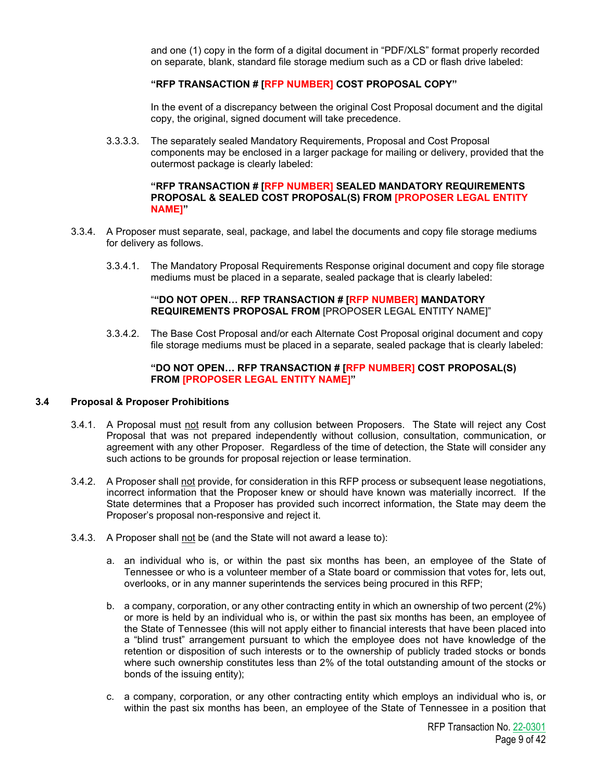and one (1) copy in the form of a digital document in "PDF/XLS" format properly recorded on separate, blank, standard file storage medium such as a CD or flash drive labeled:

## **"RFP TRANSACTION # [RFP NUMBER] COST PROPOSAL COPY"**

In the event of a discrepancy between the original Cost Proposal document and the digital copy, the original, signed document will take precedence.

3.3.3.3. The separately sealed Mandatory Requirements, Proposal and Cost Proposal components may be enclosed in a larger package for mailing or delivery, provided that the outermost package is clearly labeled:

## **"RFP TRANSACTION # [RFP NUMBER] SEALED MANDATORY REQUIREMENTS PROPOSAL & SEALED COST PROPOSAL(S) FROM [PROPOSER LEGAL ENTITY NAME]"**

- 3.3.4. A Proposer must separate, seal, package, and label the documents and copy file storage mediums for delivery as follows.
	- 3.3.4.1. The Mandatory Proposal Requirements Response original document and copy file storage mediums must be placed in a separate, sealed package that is clearly labeled:

## "**"DO NOT OPEN… RFP TRANSACTION # [RFP NUMBER] MANDATORY REQUIREMENTS PROPOSAL FROM** [PROPOSER LEGAL ENTITY NAME]"

3.3.4.2. The Base Cost Proposal and/or each Alternate Cost Proposal original document and copy file storage mediums must be placed in a separate, sealed package that is clearly labeled:

## **"DO NOT OPEN… RFP TRANSACTION # [RFP NUMBER] COST PROPOSAL(S) FROM [PROPOSER LEGAL ENTITY NAME]"**

#### **3.4 Proposal & Proposer Prohibitions**

- 3.4.1. A Proposal must not result from any collusion between Proposers. The State will reject any Cost Proposal that was not prepared independently without collusion, consultation, communication, or agreement with any other Proposer. Regardless of the time of detection, the State will consider any such actions to be grounds for proposal rejection or lease termination.
- 3.4.2. A Proposer shall not provide, for consideration in this RFP process or subsequent lease negotiations, incorrect information that the Proposer knew or should have known was materially incorrect. If the State determines that a Proposer has provided such incorrect information, the State may deem the Proposer's proposal non-responsive and reject it.
- 3.4.3. A Proposer shall not be (and the State will not award a lease to):
	- a. an individual who is, or within the past six months has been, an employee of the State of Tennessee or who is a volunteer member of a State board or commission that votes for, lets out, overlooks, or in any manner superintends the services being procured in this RFP;
	- b. a company, corporation, or any other contracting entity in which an ownership of two percent (2%) or more is held by an individual who is, or within the past six months has been, an employee of the State of Tennessee (this will not apply either to financial interests that have been placed into a "blind trust" arrangement pursuant to which the employee does not have knowledge of the retention or disposition of such interests or to the ownership of publicly traded stocks or bonds where such ownership constitutes less than 2% of the total outstanding amount of the stocks or bonds of the issuing entity);
	- c. a company, corporation, or any other contracting entity which employs an individual who is, or within the past six months has been, an employee of the State of Tennessee in a position that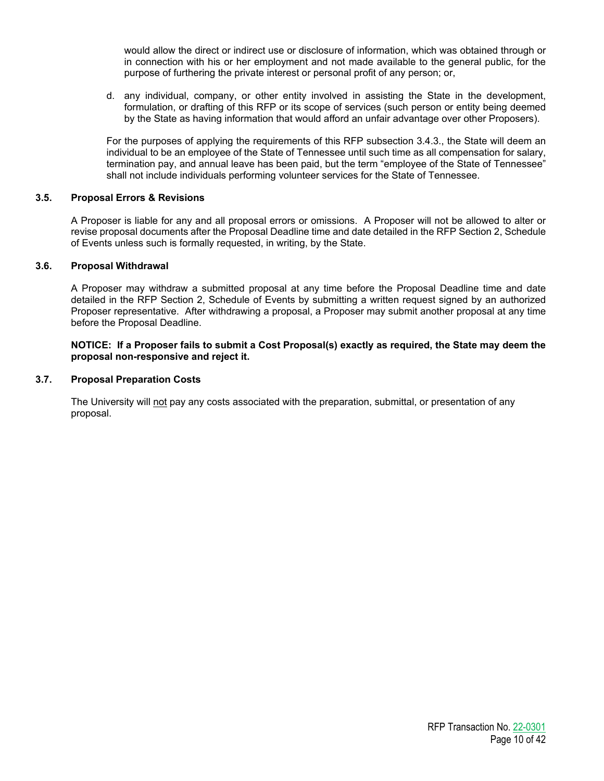would allow the direct or indirect use or disclosure of information, which was obtained through or in connection with his or her employment and not made available to the general public, for the purpose of furthering the private interest or personal profit of any person; or,

d. any individual, company, or other entity involved in assisting the State in the development, formulation, or drafting of this RFP or its scope of services (such person or entity being deemed by the State as having information that would afford an unfair advantage over other Proposers).

For the purposes of applying the requirements of this RFP subsection 3.4.3*.*, the State will deem an individual to be an employee of the State of Tennessee until such time as all compensation for salary, termination pay, and annual leave has been paid, but the term "employee of the State of Tennessee" shall not include individuals performing volunteer services for the State of Tennessee.

## **3.5. Proposal Errors & Revisions**

A Proposer is liable for any and all proposal errors or omissions. A Proposer will not be allowed to alter or revise proposal documents after the Proposal Deadline time and date detailed in the RFP Section 2, Schedule of Events unless such is formally requested, in writing, by the State.

## **3.6. Proposal Withdrawal**

A Proposer may withdraw a submitted proposal at any time before the Proposal Deadline time and date detailed in the RFP Section 2, Schedule of Events by submitting a written request signed by an authorized Proposer representative. After withdrawing a proposal, a Proposer may submit another proposal at any time before the Proposal Deadline.

## **NOTICE: If a Proposer fails to submit a Cost Proposal(s) exactly as required, the State may deem the proposal non-responsive and reject it.**

## **3.7. Proposal Preparation Costs**

The University will not pay any costs associated with the preparation, submittal, or presentation of any proposal.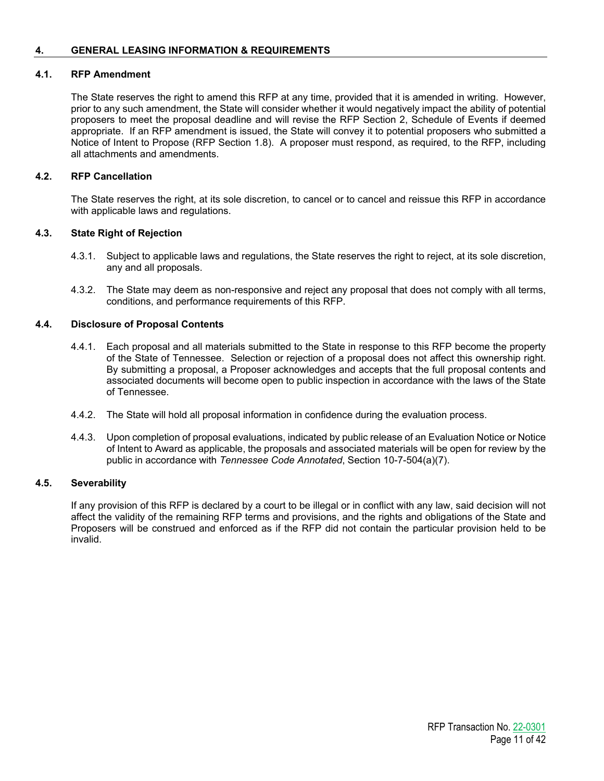## **4. GENERAL LEASING INFORMATION & REQUIREMENTS**

## **4.1. RFP Amendment**

The State reserves the right to amend this RFP at any time, provided that it is amended in writing. However, prior to any such amendment, the State will consider whether it would negatively impact the ability of potential proposers to meet the proposal deadline and will revise the RFP Section 2, Schedule of Events if deemed appropriate. If an RFP amendment is issued, the State will convey it to potential proposers who submitted a Notice of Intent to Propose (RFP Section 1.8). A proposer must respond, as required, to the RFP, including all attachments and amendments.

## **4.2. RFP Cancellation**

The State reserves the right, at its sole discretion, to cancel or to cancel and reissue this RFP in accordance with applicable laws and regulations.

## **4.3. State Right of Rejection**

- 4.3.1. Subject to applicable laws and regulations, the State reserves the right to reject, at its sole discretion, any and all proposals.
- 4.3.2. The State may deem as non-responsive and reject any proposal that does not comply with all terms, conditions, and performance requirements of this RFP.

## **4.4. Disclosure of Proposal Contents**

- 4.4.1. Each proposal and all materials submitted to the State in response to this RFP become the property of the State of Tennessee. Selection or rejection of a proposal does not affect this ownership right. By submitting a proposal, a Proposer acknowledges and accepts that the full proposal contents and associated documents will become open to public inspection in accordance with the laws of the State of Tennessee.
- 4.4.2. The State will hold all proposal information in confidence during the evaluation process.
- 4.4.3. Upon completion of proposal evaluations, indicated by public release of an Evaluation Notice or Notice of Intent to Award as applicable, the proposals and associated materials will be open for review by the public in accordance with *Tennessee Code Annotated*, Section 10-7-504(a)(7).

## **4.5. Severability**

If any provision of this RFP is declared by a court to be illegal or in conflict with any law, said decision will not affect the validity of the remaining RFP terms and provisions, and the rights and obligations of the State and Proposers will be construed and enforced as if the RFP did not contain the particular provision held to be invalid.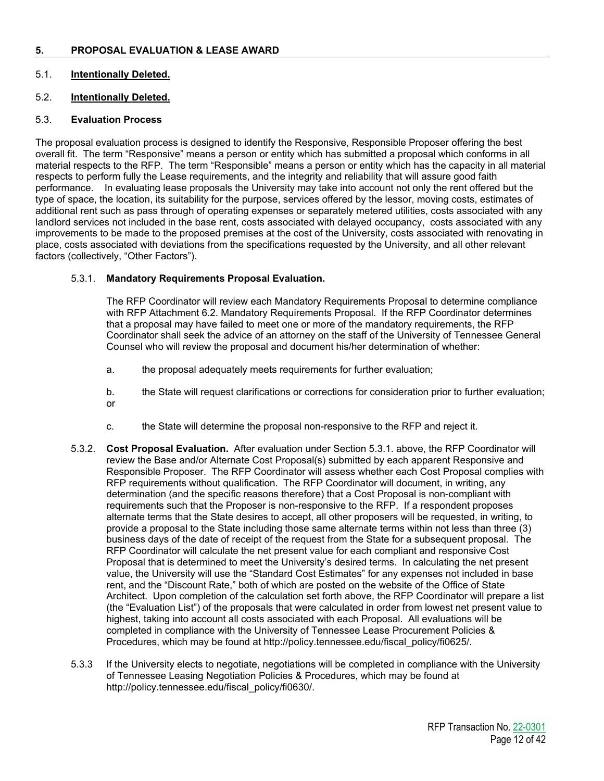## **5. PROPOSAL EVALUATION & LEASE AWARD**

## 5.1. **Intentionally Deleted.**

## 5.2. **Intentionally Deleted.**

## 5.3. **Evaluation Process**

The proposal evaluation process is designed to identify the Responsive, Responsible Proposer offering the best overall fit. The term "Responsive" means a person or entity which has submitted a proposal which conforms in all material respects to the RFP. The term "Responsible" means a person or entity which has the capacity in all material respects to perform fully the Lease requirements, and the integrity and reliability that will assure good faith performance. In evaluating lease proposals the University may take into account not only the rent offered but the type of space, the location, its suitability for the purpose, services offered by the lessor, moving costs, estimates of additional rent such as pass through of operating expenses or separately metered utilities, costs associated with any landlord services not included in the base rent, costs associated with delayed occupancy, costs associated with any improvements to be made to the proposed premises at the cost of the University, costs associated with renovating in place, costs associated with deviations from the specifications requested by the University, and all other relevant factors (collectively, "Other Factors").

## 5.3.1. **Mandatory Requirements Proposal Evaluation.**

The RFP Coordinator will review each Mandatory Requirements Proposal to determine compliance with RFP Attachment 6.2. Mandatory Requirements Proposal. If the RFP Coordinator determines that a proposal may have failed to meet one or more of the mandatory requirements, the RFP Coordinator shall seek the advice of an attorney on the staff of the University of Tennessee General Counsel who will review the proposal and document his/her determination of whether:

- a. the proposal adequately meets requirements for further evaluation;
- b. the State will request clarifications or corrections for consideration prior to further evaluation; or
- c. the State will determine the proposal non-responsive to the RFP and reject it.
- 5.3.2. **Cost Proposal Evaluation.** After evaluation under Section 5.3.1. above, the RFP Coordinator will review the Base and/or Alternate Cost Proposal(s) submitted by each apparent Responsive and Responsible Proposer. The RFP Coordinator will assess whether each Cost Proposal complies with RFP requirements without qualification. The RFP Coordinator will document, in writing, any determination (and the specific reasons therefore) that a Cost Proposal is non-compliant with requirements such that the Proposer is non-responsive to the RFP. If a respondent proposes alternate terms that the State desires to accept, all other proposers will be requested, in writing, to provide a proposal to the State including those same alternate terms within not less than three (3) business days of the date of receipt of the request from the State for a subsequent proposal. The RFP Coordinator will calculate the net present value for each compliant and responsive Cost Proposal that is determined to meet the University's desired terms. In calculating the net present value, the University will use the "Standard Cost Estimates" for any expenses not included in base rent, and the "Discount Rate," both of which are posted on the website of the Office of State Architect. Upon completion of the calculation set forth above, the RFP Coordinator will prepare a list (the "Evaluation List") of the proposals that were calculated in order from lowest net present value to highest, taking into account all costs associated with each Proposal. All evaluations will be completed in compliance with the University of Tennessee Lease Procurement Policies & Procedures, which may be found at http://policy.tennessee.edu/fiscal\_policy/fi0625/.
- 5.3.3 If the University elects to negotiate, negotiations will be completed in compliance with the University of Tennessee Leasing Negotiation Policies & Procedures, which may be found at http://policy.tennessee.edu/fiscal\_policy/fi0630/.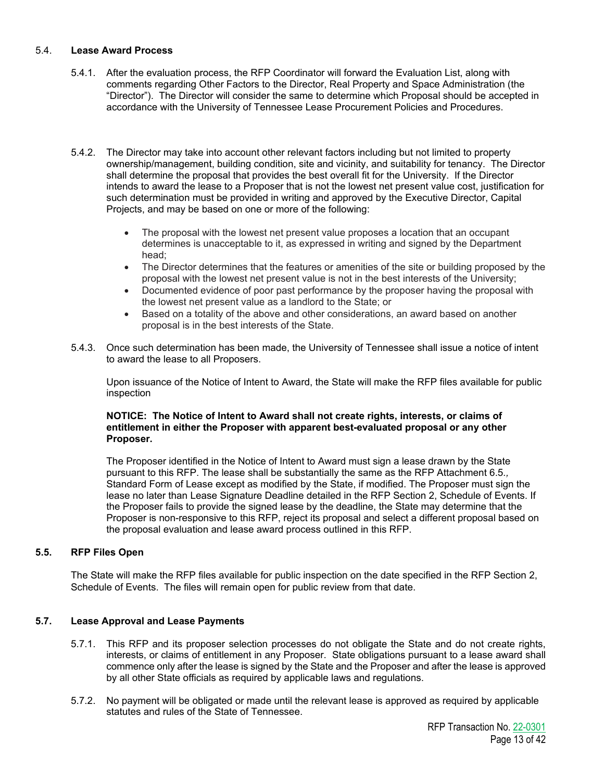## 5.4. **Lease Award Process**

- 5.4.1. After the evaluation process, the RFP Coordinator will forward the Evaluation List, along with comments regarding Other Factors to the Director, Real Property and Space Administration (the "Director"). The Director will consider the same to determine which Proposal should be accepted in accordance with the University of Tennessee Lease Procurement Policies and Procedures.
- 5.4.2. The Director may take into account other relevant factors including but not limited to property ownership/management, building condition, site and vicinity, and suitability for tenancy. The Director shall determine the proposal that provides the best overall fit for the University. If the Director intends to award the lease to a Proposer that is not the lowest net present value cost, justification for such determination must be provided in writing and approved by the Executive Director, Capital Projects, and may be based on one or more of the following:
	- The proposal with the lowest net present value proposes a location that an occupant determines is unacceptable to it, as expressed in writing and signed by the Department head;
	- The Director determines that the features or amenities of the site or building proposed by the proposal with the lowest net present value is not in the best interests of the University;
	- Documented evidence of poor past performance by the proposer having the proposal with the lowest net present value as a landlord to the State; or
	- Based on a totality of the above and other considerations, an award based on another proposal is in the best interests of the State.
- 5.4.3. Once such determination has been made, the University of Tennessee shall issue a notice of intent to award the lease to all Proposers.

Upon issuance of the Notice of Intent to Award, the State will make the RFP files available for public inspection

## **NOTICE: The Notice of Intent to Award shall not create rights, interests, or claims of entitlement in either the Proposer with apparent best-evaluated proposal or any other Proposer.**

The Proposer identified in the Notice of Intent to Award must sign a lease drawn by the State pursuant to this RFP. The lease shall be substantially the same as the RFP Attachment 6.5*.,*  Standard Form of Lease except as modified by the State, if modified. The Proposer must sign the lease no later than Lease Signature Deadline detailed in the RFP Section 2, Schedule of Events. If the Proposer fails to provide the signed lease by the deadline, the State may determine that the Proposer is non-responsive to this RFP, reject its proposal and select a different proposal based on the proposal evaluation and lease award process outlined in this RFP.

## **5.5. RFP Files Open**

The State will make the RFP files available for public inspection on the date specified in the RFP Section 2, Schedule of Events. The files will remain open for public review from that date.

## **5.7. Lease Approval and Lease Payments**

- 5.7.1. This RFP and its proposer selection processes do not obligate the State and do not create rights, interests, or claims of entitlement in any Proposer. State obligations pursuant to a lease award shall commence only after the lease is signed by the State and the Proposer and after the lease is approved by all other State officials as required by applicable laws and regulations.
- 5.7.2. No payment will be obligated or made until the relevant lease is approved as required by applicable statutes and rules of the State of Tennessee.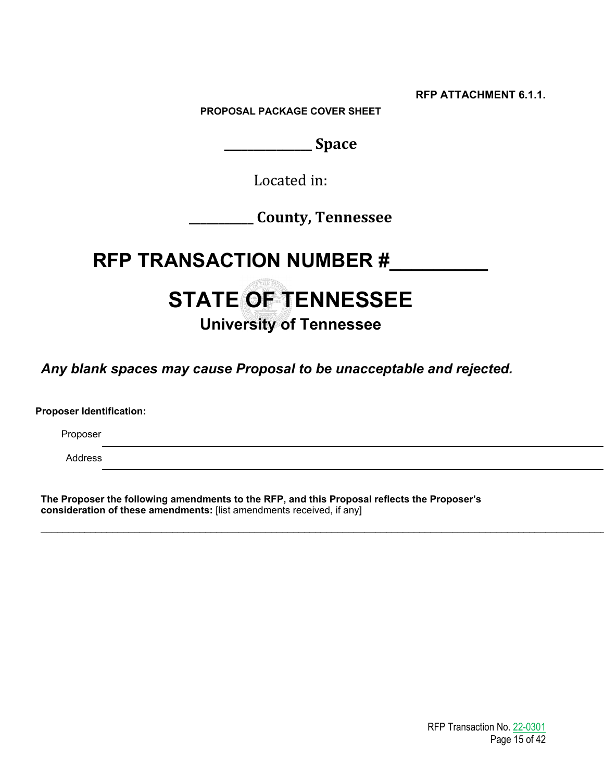**RFP ATTACHMENT 6.1.1.**

**PROPOSAL PACKAGE COVER SHEET**

**\_\_\_\_\_\_\_\_\_\_\_\_\_\_\_ Space**

Located in:

**\_\_\_\_\_\_\_\_\_\_\_ County, Tennessee**

**RFP TRANSACTION NUMBER #\_\_\_\_\_\_\_\_\_**

# **STATE OF TENNESSEE**

## **University of Tennessee**

*Any blank spaces may cause Proposal to be unacceptable and rejected.*

**Proposer Identification:**

Proposer

Address

**The Proposer the following amendments to the RFP, and this Proposal reflects the Proposer's consideration of these amendments:** [list amendments received, if any]

\_\_\_\_\_\_\_\_\_\_\_\_\_\_\_\_\_\_\_\_\_\_\_\_\_\_\_\_\_\_\_\_\_\_\_\_\_\_\_\_\_\_\_\_\_\_\_\_\_\_\_\_\_\_\_\_\_\_\_\_\_\_\_\_\_\_\_\_\_\_\_\_\_\_\_\_\_\_\_\_\_\_\_\_\_\_\_\_\_\_\_\_\_\_\_\_\_\_\_\_\_\_\_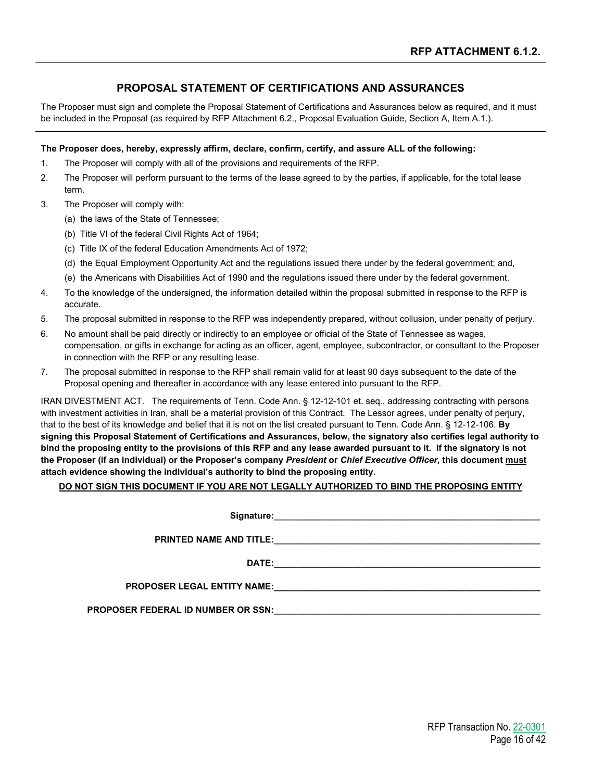## **PROPOSAL STATEMENT OF CERTIFICATIONS AND ASSURANCES**

The Proposer must sign and complete the Proposal Statement of Certifications and Assurances below as required, and it must be included in the Proposal (as required by RFP Attachment 6.2., Proposal Evaluation Guide, Section A, Item A.1.).

#### **The Proposer does, hereby, expressly affirm, declare, confirm, certify, and assure ALL of the following:**

- 1. The Proposer will comply with all of the provisions and requirements of the RFP.
- 2. The Proposer will perform pursuant to the terms of the lease agreed to by the parties, if applicable, for the total lease term.
- 3. The Proposer will comply with:
	- (a) the laws of the State of Tennessee;
	- (b) Title VI of the federal Civil Rights Act of 1964;
	- (c) Title IX of the federal Education Amendments Act of 1972;
	- (d) the Equal Employment Opportunity Act and the regulations issued there under by the federal government; and,
	- (e) the Americans with Disabilities Act of 1990 and the regulations issued there under by the federal government.
- 4. To the knowledge of the undersigned, the information detailed within the proposal submitted in response to the RFP is accurate.
- 5. The proposal submitted in response to the RFP was independently prepared, without collusion, under penalty of perjury.
- 6. No amount shall be paid directly or indirectly to an employee or official of the State of Tennessee as wages, compensation, or gifts in exchange for acting as an officer, agent, employee, subcontractor, or consultant to the Proposer in connection with the RFP or any resulting lease.
- 7. The proposal submitted in response to the RFP shall remain valid for at least 90 days subsequent to the date of the Proposal opening and thereafter in accordance with any lease entered into pursuant to the RFP.

IRAN DIVESTMENT ACT. The requirements of Tenn. Code Ann. § 12-12-101 et. seq., addressing contracting with persons with investment activities in Iran, shall be a material provision of this Contract. The Lessor agrees, under penalty of perjury, that to the best of its knowledge and belief that it is not on the list created pursuant to Tenn. Code Ann. § 12-12-106. **By signing this Proposal Statement of Certifications and Assurances, below, the signatory also certifies legal authority to bind the proposing entity to the provisions of this RFP and any lease awarded pursuant to it. If the signatory is not the Proposer (if an individual) or the Proposer's company** *President* **or** *Chief Executive Officer***, this document must attach evidence showing the individual's authority to bind the proposing entity.**

#### **DO NOT SIGN THIS DOCUMENT IF YOU ARE NOT LEGALLY AUTHORIZED TO BIND THE PROPOSING ENTITY**

Signature:

**PRINTED NAME AND TITLE:**  $\blacksquare$ 

**DATE:** 

**PROPOSER LEGAL ENTITY NAME:\_\_\_\_\_\_\_\_\_\_\_\_\_\_\_\_\_\_\_\_\_\_\_\_\_\_\_\_\_\_\_\_\_\_\_\_\_\_\_\_\_\_\_\_\_\_\_\_\_\_\_\_\_\_**

**PROPOSER FEDERAL ID NUMBER OR SSN:**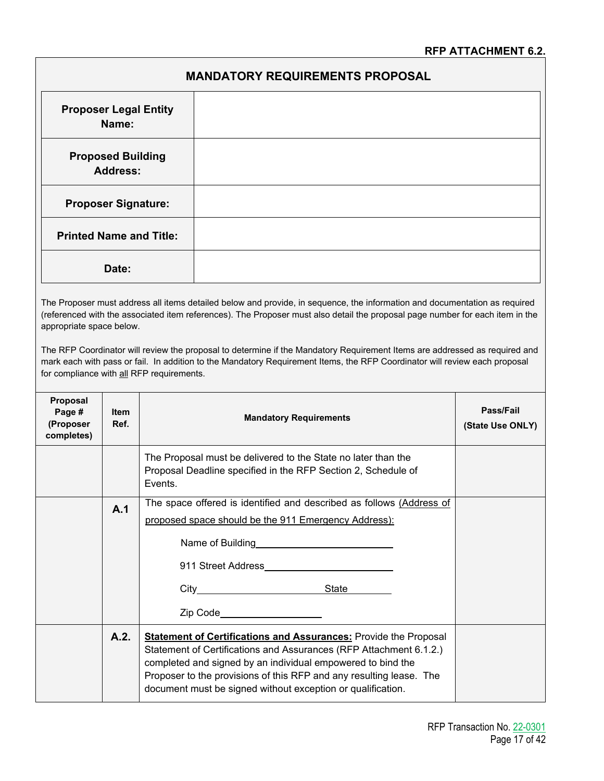## **MANDATORY REQUIREMENTS PROPOSAL**

| <b>Proposer Legal Entity</b><br>Name:       |  |
|---------------------------------------------|--|
| <b>Proposed Building</b><br><b>Address:</b> |  |
| <b>Proposer Signature:</b>                  |  |
| <b>Printed Name and Title:</b>              |  |
| Date:                                       |  |

The Proposer must address all items detailed below and provide, in sequence, the information and documentation as required (referenced with the associated item references). The Proposer must also detail the proposal page number for each item in the appropriate space below.

The RFP Coordinator will review the proposal to determine if the Mandatory Requirement Items are addressed as required and mark each with pass or fail. In addition to the Mandatory Requirement Items, the RFP Coordinator will review each proposal for compliance with all RFP requirements.

| Proposal<br>Page #<br>(Proposer<br>completes) | <b>Item</b><br>Ref. | <b>Mandatory Requirements</b>                                                                                                                                                                                                                                                                                                                      | Pass/Fail<br>(State Use ONLY) |
|-----------------------------------------------|---------------------|----------------------------------------------------------------------------------------------------------------------------------------------------------------------------------------------------------------------------------------------------------------------------------------------------------------------------------------------------|-------------------------------|
|                                               |                     | The Proposal must be delivered to the State no later than the<br>Proposal Deadline specified in the RFP Section 2, Schedule of<br>Events.                                                                                                                                                                                                          |                               |
|                                               | A.1                 | The space offered is identified and described as follows (Address of<br>proposed space should be the 911 Emergency Address):<br>City State<br>Zip Code____________________                                                                                                                                                                         |                               |
|                                               | A.2.                | <b>Statement of Certifications and Assurances: Provide the Proposal</b><br>Statement of Certifications and Assurances (RFP Attachment 6.1.2.)<br>completed and signed by an individual empowered to bind the<br>Proposer to the provisions of this RFP and any resulting lease. The<br>document must be signed without exception or qualification. |                               |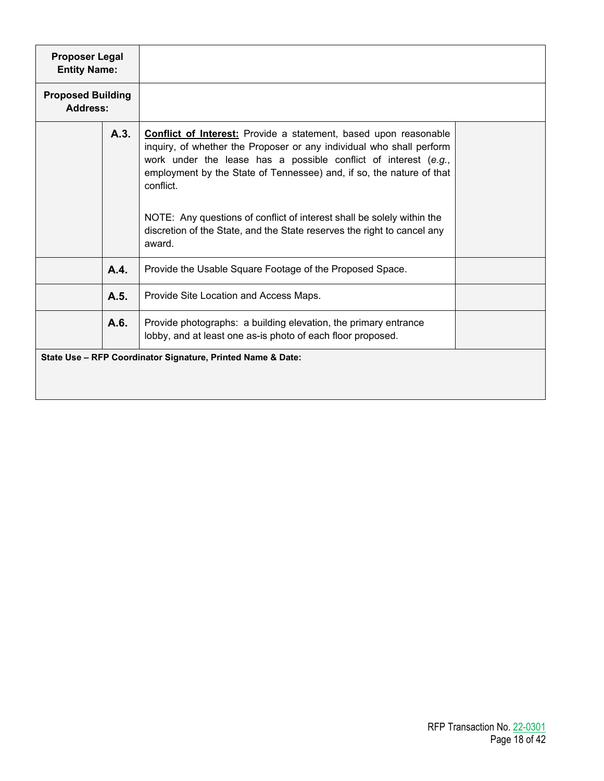| <b>Proposer Legal</b><br><b>Entity Name:</b> |      |                                                                                                                                                                                                                                                                                                                                                                                                                                                                        |  |
|----------------------------------------------|------|------------------------------------------------------------------------------------------------------------------------------------------------------------------------------------------------------------------------------------------------------------------------------------------------------------------------------------------------------------------------------------------------------------------------------------------------------------------------|--|
| <b>Proposed Building</b><br><b>Address:</b>  |      |                                                                                                                                                                                                                                                                                                                                                                                                                                                                        |  |
|                                              | A.3. | <b>Conflict of Interest:</b> Provide a statement, based upon reasonable<br>inquiry, of whether the Proposer or any individual who shall perform<br>work under the lease has a possible conflict of interest (e.g.,<br>employment by the State of Tennessee) and, if so, the nature of that<br>conflict.<br>NOTE: Any questions of conflict of interest shall be solely within the<br>discretion of the State, and the State reserves the right to cancel any<br>award. |  |
|                                              | A.4. | Provide the Usable Square Footage of the Proposed Space.                                                                                                                                                                                                                                                                                                                                                                                                               |  |
|                                              | A.5. | Provide Site Location and Access Maps.                                                                                                                                                                                                                                                                                                                                                                                                                                 |  |
|                                              | A.6. | Provide photographs: a building elevation, the primary entrance<br>lobby, and at least one as-is photo of each floor proposed.                                                                                                                                                                                                                                                                                                                                         |  |
|                                              |      | State Use - RFP Coordinator Signature, Printed Name & Date:                                                                                                                                                                                                                                                                                                                                                                                                            |  |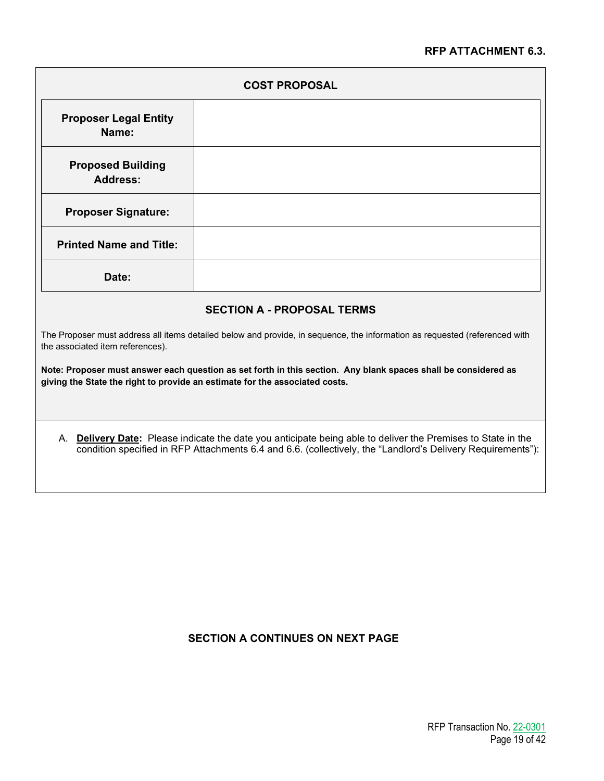## **RFP ATTACHMENT 6.3.**

| <b>COST PROPOSAL</b>                                                                                                                                                                          |  |  |
|-----------------------------------------------------------------------------------------------------------------------------------------------------------------------------------------------|--|--|
| <b>Proposer Legal Entity</b><br>Name:                                                                                                                                                         |  |  |
| <b>Proposed Building</b><br><b>Address:</b>                                                                                                                                                   |  |  |
| <b>Proposer Signature:</b>                                                                                                                                                                    |  |  |
| <b>Printed Name and Title:</b>                                                                                                                                                                |  |  |
| Date:                                                                                                                                                                                         |  |  |
| <b>SECTION A - PROPOSAL TERMS</b>                                                                                                                                                             |  |  |
| The Proposer must address all items detailed below and provide, in sequence, the information as requested (referenced with<br>the associated item references).                                |  |  |
| Note: Proposer must answer each question as set forth in this section. Any blank spaces shall be considered as<br>giving the State the right to provide an estimate for the associated costs. |  |  |

## A. **Delivery Date:** Please indicate the date you anticipate being able to deliver the Premises to State in the condition specified in RFP Attachments 6.4 and 6.6. (collectively, the "Landlord's Delivery Requirements"):

## **SECTION A CONTINUES ON NEXT PAGE**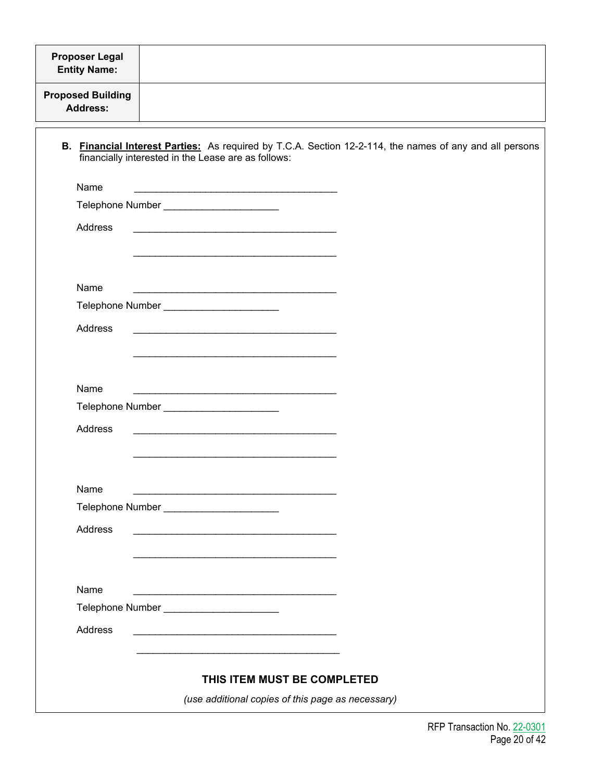| <b>Proposer Legal</b><br><b>Entity Name:</b> |                                                                                                                                                                                                                               |
|----------------------------------------------|-------------------------------------------------------------------------------------------------------------------------------------------------------------------------------------------------------------------------------|
| <b>Proposed Building</b><br><b>Address:</b>  |                                                                                                                                                                                                                               |
|                                              | B. Financial Interest Parties: As required by T.C.A. Section 12-2-114, the names of any and all persons<br>financially interested in the Lease are as follows:                                                                |
| Name                                         |                                                                                                                                                                                                                               |
|                                              | Telephone Number ________________________                                                                                                                                                                                     |
| Address                                      |                                                                                                                                                                                                                               |
|                                              |                                                                                                                                                                                                                               |
| Name                                         |                                                                                                                                                                                                                               |
|                                              | Telephone Number _______________________                                                                                                                                                                                      |
| Address                                      | <u> 1989 - Johann Stoff, amerikansk politiker (d. 1989)</u>                                                                                                                                                                   |
|                                              |                                                                                                                                                                                                                               |
|                                              |                                                                                                                                                                                                                               |
| Name                                         |                                                                                                                                                                                                                               |
|                                              | Telephone Number _______________________                                                                                                                                                                                      |
| Address                                      |                                                                                                                                                                                                                               |
|                                              |                                                                                                                                                                                                                               |
|                                              |                                                                                                                                                                                                                               |
| Name                                         | the control of the control of the control of the control of the control of the control of the control of the control of the control of the control of the control of the control of the control of the control of the control |
|                                              | Telephone Number ________________________                                                                                                                                                                                     |
| Address                                      | the control of the control of the control of the control of the control of the control of the control of the control of the control of the control of the control of the control of the control of the control of the control |
|                                              |                                                                                                                                                                                                                               |
|                                              |                                                                                                                                                                                                                               |
| Name                                         | the control of the control of the control of the control of the control of the control of                                                                                                                                     |
|                                              | Telephone Number _______________________                                                                                                                                                                                      |
| Address                                      |                                                                                                                                                                                                                               |
|                                              | THIS ITEM MUST BE COMPLETED                                                                                                                                                                                                   |
|                                              | (use additional copies of this page as necessary)                                                                                                                                                                             |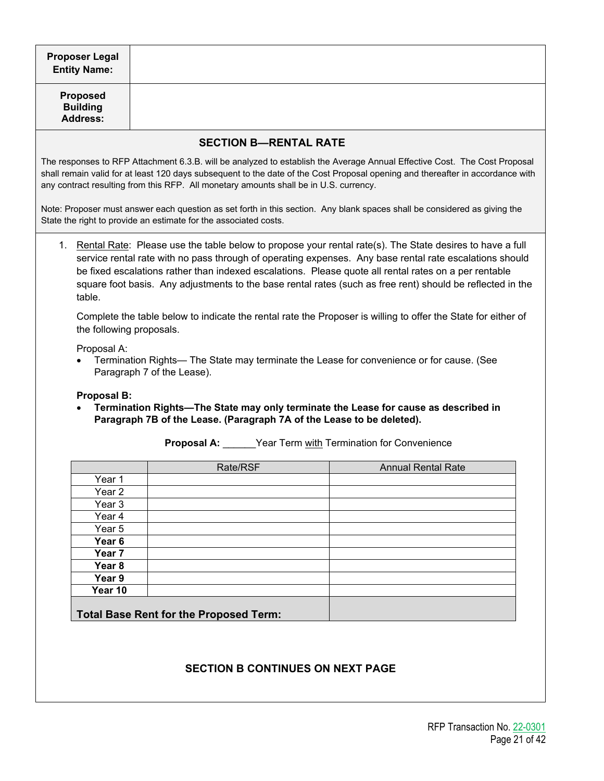| <b>Proposer Legal</b><br><b>Entity Name:</b>                                                                                                                                       |                                                                                                                                                                                                                                                                                                                                                                                                                                               |                              |                                                                                                                                                                                                                                                             |  |  |
|------------------------------------------------------------------------------------------------------------------------------------------------------------------------------------|-----------------------------------------------------------------------------------------------------------------------------------------------------------------------------------------------------------------------------------------------------------------------------------------------------------------------------------------------------------------------------------------------------------------------------------------------|------------------------------|-------------------------------------------------------------------------------------------------------------------------------------------------------------------------------------------------------------------------------------------------------------|--|--|
| <b>Proposed</b><br><b>Building</b><br><b>Address:</b>                                                                                                                              |                                                                                                                                                                                                                                                                                                                                                                                                                                               |                              |                                                                                                                                                                                                                                                             |  |  |
|                                                                                                                                                                                    |                                                                                                                                                                                                                                                                                                                                                                                                                                               | <b>SECTION B-RENTAL RATE</b> |                                                                                                                                                                                                                                                             |  |  |
|                                                                                                                                                                                    | any contract resulting from this RFP. All monetary amounts shall be in U.S. currency.                                                                                                                                                                                                                                                                                                                                                         |                              | The responses to RFP Attachment 6.3.B. will be analyzed to establish the Average Annual Effective Cost. The Cost Proposal<br>shall remain valid for at least 120 days subsequent to the date of the Cost Proposal opening and thereafter in accordance with |  |  |
|                                                                                                                                                                                    | State the right to provide an estimate for the associated costs.                                                                                                                                                                                                                                                                                                                                                                              |                              | Note: Proposer must answer each question as set forth in this section. Any blank spaces shall be considered as giving the                                                                                                                                   |  |  |
| table.                                                                                                                                                                             | 1. Rental Rate: Please use the table below to propose your rental rate(s). The State desires to have a full<br>service rental rate with no pass through of operating expenses. Any base rental rate escalations should<br>be fixed escalations rather than indexed escalations. Please quote all rental rates on a per rentable<br>square foot basis. Any adjustments to the base rental rates (such as free rent) should be reflected in the |                              |                                                                                                                                                                                                                                                             |  |  |
| the following proposals.                                                                                                                                                           |                                                                                                                                                                                                                                                                                                                                                                                                                                               |                              | Complete the table below to indicate the rental rate the Proposer is willing to offer the State for either of                                                                                                                                               |  |  |
|                                                                                                                                                                                    | Proposal A:<br>Termination Rights— The State may terminate the Lease for convenience or for cause. (See<br>Paragraph 7 of the Lease).                                                                                                                                                                                                                                                                                                         |                              |                                                                                                                                                                                                                                                             |  |  |
| <b>Proposal B:</b><br>Termination Rights-The State may only terminate the Lease for cause as described in<br>Paragraph 7B of the Lease. (Paragraph 7A of the Lease to be deleted). |                                                                                                                                                                                                                                                                                                                                                                                                                                               |                              |                                                                                                                                                                                                                                                             |  |  |
|                                                                                                                                                                                    | <b>Proposal A:</b> ______Year Term with Termination for Convenience                                                                                                                                                                                                                                                                                                                                                                           |                              |                                                                                                                                                                                                                                                             |  |  |
|                                                                                                                                                                                    | Rate/RSF                                                                                                                                                                                                                                                                                                                                                                                                                                      |                              | <b>Annual Rental Rate</b>                                                                                                                                                                                                                                   |  |  |
| Year 1                                                                                                                                                                             |                                                                                                                                                                                                                                                                                                                                                                                                                                               |                              |                                                                                                                                                                                                                                                             |  |  |
| Year <sub>2</sub>                                                                                                                                                                  |                                                                                                                                                                                                                                                                                                                                                                                                                                               |                              |                                                                                                                                                                                                                                                             |  |  |
| Year <sub>3</sub>                                                                                                                                                                  |                                                                                                                                                                                                                                                                                                                                                                                                                                               |                              |                                                                                                                                                                                                                                                             |  |  |
| Year 4                                                                                                                                                                             |                                                                                                                                                                                                                                                                                                                                                                                                                                               |                              |                                                                                                                                                                                                                                                             |  |  |
| Year 5                                                                                                                                                                             |                                                                                                                                                                                                                                                                                                                                                                                                                                               |                              |                                                                                                                                                                                                                                                             |  |  |
| Year 6                                                                                                                                                                             |                                                                                                                                                                                                                                                                                                                                                                                                                                               |                              |                                                                                                                                                                                                                                                             |  |  |
| Year 7<br>Year <sub>8</sub>                                                                                                                                                        |                                                                                                                                                                                                                                                                                                                                                                                                                                               |                              |                                                                                                                                                                                                                                                             |  |  |
| Year 9                                                                                                                                                                             |                                                                                                                                                                                                                                                                                                                                                                                                                                               |                              |                                                                                                                                                                                                                                                             |  |  |
| Year 10                                                                                                                                                                            |                                                                                                                                                                                                                                                                                                                                                                                                                                               |                              |                                                                                                                                                                                                                                                             |  |  |
| <b>Total Base Rent for the Proposed Term:</b>                                                                                                                                      |                                                                                                                                                                                                                                                                                                                                                                                                                                               |                              |                                                                                                                                                                                                                                                             |  |  |
|                                                                                                                                                                                    |                                                                                                                                                                                                                                                                                                                                                                                                                                               |                              |                                                                                                                                                                                                                                                             |  |  |

## **SECTION B CONTINUES ON NEXT PAGE**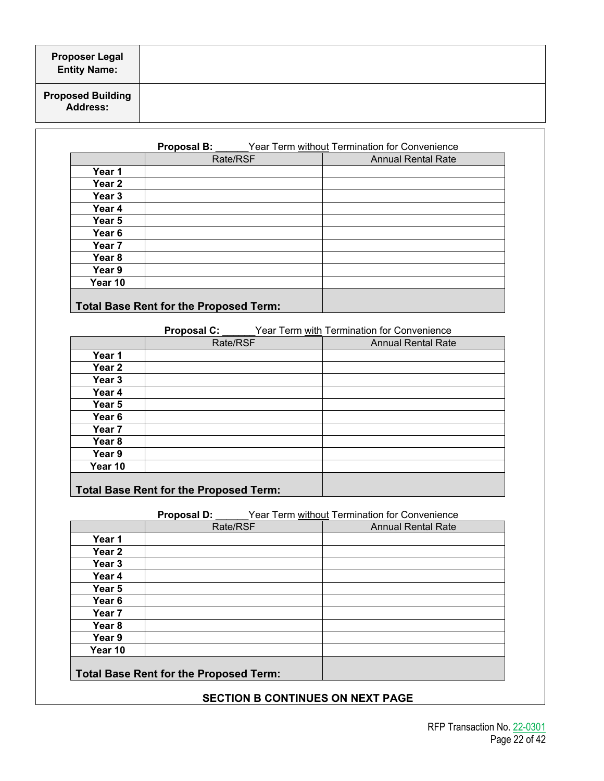| <b>Proposer Legal</b><br>Entity Name: |  |
|---------------------------------------|--|
| <b>Proposed Building<br/>Address:</b> |  |

|                   | <b>Proposal B:</b>                     | Year Term without Termination for Convenience |
|-------------------|----------------------------------------|-----------------------------------------------|
|                   | Rate/RSF                               | <b>Annual Rental Rate</b>                     |
| Year 1            |                                        |                                               |
| Year <sub>2</sub> |                                        |                                               |
| Year <sub>3</sub> |                                        |                                               |
| Year 4            |                                        |                                               |
| Year 5            |                                        |                                               |
| Year 6            |                                        |                                               |
| Year 7            |                                        |                                               |
| Year 8            |                                        |                                               |
| Year 9            |                                        |                                               |
| Year 10           |                                        |                                               |
|                   | Total Base Rent for the Proposed Term: |                                               |

**Proposal C:** Year Term with Termination for Convenience

|                                        | Rate/RSF | <b>Annual Rental Rate</b> |
|----------------------------------------|----------|---------------------------|
| Year 1                                 |          |                           |
| Year <sub>2</sub>                      |          |                           |
| Year 3                                 |          |                           |
| Year 4                                 |          |                           |
| Year 5                                 |          |                           |
| Year <sub>6</sub>                      |          |                           |
| Year 7                                 |          |                           |
| Year 8                                 |          |                           |
| Year 9                                 |          |                           |
| Year 10                                |          |                           |
| Total Base Rent for the Proposed Term: |          |                           |

**Proposal D:** <u>Year Term without</u> Termination for Convenience<br>Rate/RSF **Convention Convention**<br>Annual Rental Rate **Annual Rental Rate Year 1 Year 2 Year 3 Year 4 Year 5 Year 6 Year 7 Year 8 Year 9 Year 10 Total Base Rent for the Proposed Term:**

## **SECTION B CONTINUES ON NEXT PAGE**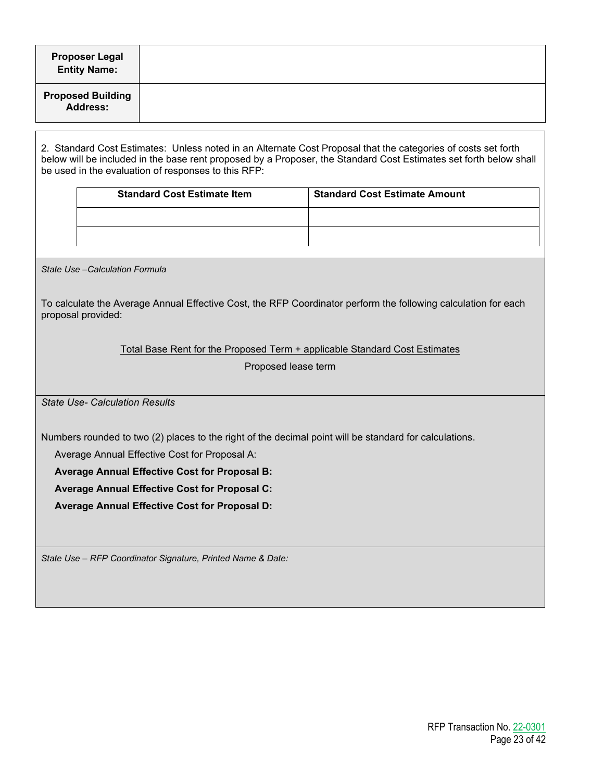| <b>Proposer Legal</b><br><b>Entity Name:</b>                                                                                                                                                                                                                                              |                                                                                                        |                                                                            |                                                                                                                |  |  |  |
|-------------------------------------------------------------------------------------------------------------------------------------------------------------------------------------------------------------------------------------------------------------------------------------------|--------------------------------------------------------------------------------------------------------|----------------------------------------------------------------------------|----------------------------------------------------------------------------------------------------------------|--|--|--|
| <b>Proposed Building</b><br><b>Address:</b>                                                                                                                                                                                                                                               |                                                                                                        |                                                                            |                                                                                                                |  |  |  |
| 2. Standard Cost Estimates: Unless noted in an Alternate Cost Proposal that the categories of costs set forth<br>below will be included in the base rent proposed by a Proposer, the Standard Cost Estimates set forth below shall<br>be used in the evaluation of responses to this RFP: |                                                                                                        |                                                                            |                                                                                                                |  |  |  |
|                                                                                                                                                                                                                                                                                           |                                                                                                        | <b>Standard Cost Estimate Item</b>                                         | <b>Standard Cost Estimate Amount</b>                                                                           |  |  |  |
|                                                                                                                                                                                                                                                                                           |                                                                                                        |                                                                            |                                                                                                                |  |  |  |
|                                                                                                                                                                                                                                                                                           |                                                                                                        |                                                                            |                                                                                                                |  |  |  |
|                                                                                                                                                                                                                                                                                           |                                                                                                        |                                                                            |                                                                                                                |  |  |  |
| State Use - Calculation Formula                                                                                                                                                                                                                                                           |                                                                                                        |                                                                            |                                                                                                                |  |  |  |
|                                                                                                                                                                                                                                                                                           |                                                                                                        |                                                                            |                                                                                                                |  |  |  |
| proposal provided:                                                                                                                                                                                                                                                                        |                                                                                                        |                                                                            | To calculate the Average Annual Effective Cost, the RFP Coordinator perform the following calculation for each |  |  |  |
|                                                                                                                                                                                                                                                                                           |                                                                                                        |                                                                            |                                                                                                                |  |  |  |
|                                                                                                                                                                                                                                                                                           |                                                                                                        | Total Base Rent for the Proposed Term + applicable Standard Cost Estimates |                                                                                                                |  |  |  |
|                                                                                                                                                                                                                                                                                           |                                                                                                        | Proposed lease term                                                        |                                                                                                                |  |  |  |
|                                                                                                                                                                                                                                                                                           |                                                                                                        |                                                                            |                                                                                                                |  |  |  |
| <b>State Use- Calculation Results</b>                                                                                                                                                                                                                                                     |                                                                                                        |                                                                            |                                                                                                                |  |  |  |
|                                                                                                                                                                                                                                                                                           |                                                                                                        |                                                                            |                                                                                                                |  |  |  |
|                                                                                                                                                                                                                                                                                           | Numbers rounded to two (2) places to the right of the decimal point will be standard for calculations. |                                                                            |                                                                                                                |  |  |  |
| Average Annual Effective Cost for Proposal A:                                                                                                                                                                                                                                             |                                                                                                        |                                                                            |                                                                                                                |  |  |  |
| <b>Average Annual Effective Cost for Proposal B:</b>                                                                                                                                                                                                                                      |                                                                                                        |                                                                            |                                                                                                                |  |  |  |
| Average Annual Effective Cost for Proposal C:                                                                                                                                                                                                                                             |                                                                                                        |                                                                            |                                                                                                                |  |  |  |
| Average Annual Effective Cost for Proposal D:                                                                                                                                                                                                                                             |                                                                                                        |                                                                            |                                                                                                                |  |  |  |
|                                                                                                                                                                                                                                                                                           |                                                                                                        |                                                                            |                                                                                                                |  |  |  |
| State Use - RFP Coordinator Signature, Printed Name & Date:                                                                                                                                                                                                                               |                                                                                                        |                                                                            |                                                                                                                |  |  |  |
|                                                                                                                                                                                                                                                                                           |                                                                                                        |                                                                            |                                                                                                                |  |  |  |
|                                                                                                                                                                                                                                                                                           |                                                                                                        |                                                                            |                                                                                                                |  |  |  |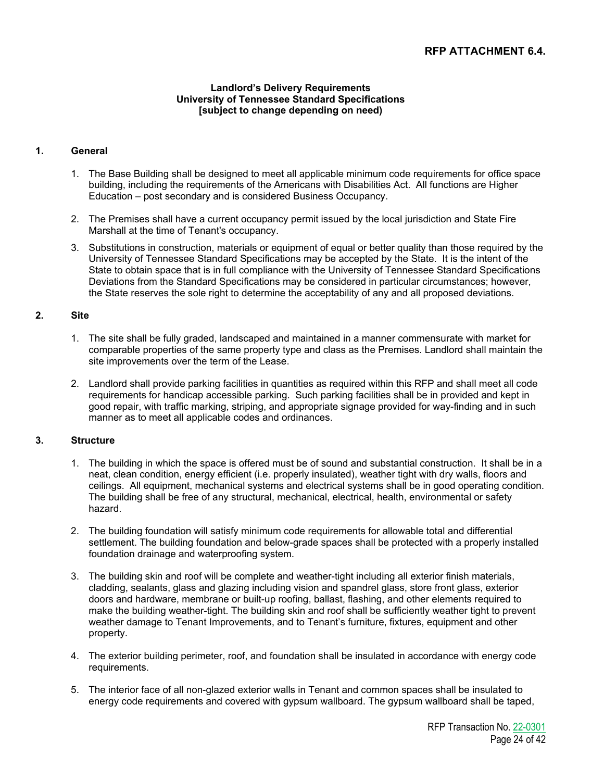## **RFP ATTACHMENT 6.4.**

#### **Landlord's Delivery Requirements University of Tennessee Standard Specifications [subject to change depending on need)**

## **1. General**

- 1. The Base Building shall be designed to meet all applicable minimum code requirements for office space building, including the requirements of the Americans with Disabilities Act. All functions are Higher Education – post secondary and is considered Business Occupancy.
- 2. The Premises shall have a current occupancy permit issued by the local jurisdiction and State Fire Marshall at the time of Tenant's occupancy.
- 3. Substitutions in construction, materials or equipment of equal or better quality than those required by the University of Tennessee Standard Specifications may be accepted by the State. It is the intent of the State to obtain space that is in full compliance with the University of Tennessee Standard Specifications Deviations from the Standard Specifications may be considered in particular circumstances; however, the State reserves the sole right to determine the acceptability of any and all proposed deviations.

## **2. Site**

- 1. The site shall be fully graded, landscaped and maintained in a manner commensurate with market for comparable properties of the same property type and class as the Premises. Landlord shall maintain the site improvements over the term of the Lease.
- 2. Landlord shall provide parking facilities in quantities as required within this RFP and shall meet all code requirements for handicap accessible parking. Such parking facilities shall be in provided and kept in good repair, with traffic marking, striping, and appropriate signage provided for way-finding and in such manner as to meet all applicable codes and ordinances.

## **3. Structure**

- 1. The building in which the space is offered must be of sound and substantial construction. It shall be in a neat, clean condition, energy efficient (i.e. properly insulated), weather tight with dry walls, floors and ceilings. All equipment, mechanical systems and electrical systems shall be in good operating condition. The building shall be free of any structural, mechanical, electrical, health, environmental or safety hazard.
- 2. The building foundation will satisfy minimum code requirements for allowable total and differential settlement. The building foundation and below-grade spaces shall be protected with a properly installed foundation drainage and waterproofing system.
- 3. The building skin and roof will be complete and weather-tight including all exterior finish materials, cladding, sealants, glass and glazing including vision and spandrel glass, store front glass, exterior doors and hardware, membrane or built-up roofing, ballast, flashing, and other elements required to make the building weather-tight. The building skin and roof shall be sufficiently weather tight to prevent weather damage to Tenant Improvements, and to Tenant's furniture, fixtures, equipment and other property.
- 4. The exterior building perimeter, roof, and foundation shall be insulated in accordance with energy code requirements.
- 5. The interior face of all non-glazed exterior walls in Tenant and common spaces shall be insulated to energy code requirements and covered with gypsum wallboard. The gypsum wallboard shall be taped,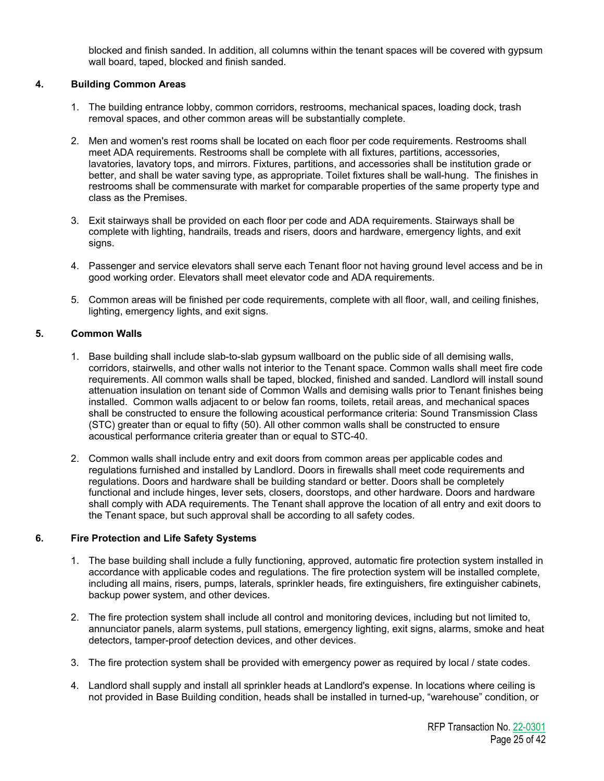blocked and finish sanded. In addition, all columns within the tenant spaces will be covered with gypsum wall board, taped, blocked and finish sanded.

## **4. Building Common Areas**

- 1. The building entrance lobby, common corridors, restrooms, mechanical spaces, loading dock, trash removal spaces, and other common areas will be substantially complete.
- 2. Men and women's rest rooms shall be located on each floor per code requirements. Restrooms shall meet ADA requirements. Restrooms shall be complete with all fixtures, partitions, accessories, lavatories, lavatory tops, and mirrors. Fixtures, partitions, and accessories shall be institution grade or better, and shall be water saving type, as appropriate. Toilet fixtures shall be wall-hung. The finishes in restrooms shall be commensurate with market for comparable properties of the same property type and class as the Premises.
- 3. Exit stairways shall be provided on each floor per code and ADA requirements. Stairways shall be complete with lighting, handrails, treads and risers, doors and hardware, emergency lights, and exit signs.
- 4. Passenger and service elevators shall serve each Tenant floor not having ground level access and be in good working order. Elevators shall meet elevator code and ADA requirements.
- 5. Common areas will be finished per code requirements, complete with all floor, wall, and ceiling finishes, lighting, emergency lights, and exit signs.

## **5. Common Walls**

- 1. Base building shall include slab-to-slab gypsum wallboard on the public side of all demising walls, corridors, stairwells, and other walls not interior to the Tenant space. Common walls shall meet fire code requirements. All common walls shall be taped, blocked, finished and sanded. Landlord will install sound attenuation insulation on tenant side of Common Walls and demising walls prior to Tenant finishes being installed. Common walls adjacent to or below fan rooms, toilets, retail areas, and mechanical spaces shall be constructed to ensure the following acoustical performance criteria: Sound Transmission Class (STC) greater than or equal to fifty (50). All other common walls shall be constructed to ensure acoustical performance criteria greater than or equal to STC-40.
- 2. Common walls shall include entry and exit doors from common areas per applicable codes and regulations furnished and installed by Landlord. Doors in firewalls shall meet code requirements and regulations. Doors and hardware shall be building standard or better. Doors shall be completely functional and include hinges, lever sets, closers, doorstops, and other hardware. Doors and hardware shall comply with ADA requirements. The Tenant shall approve the location of all entry and exit doors to the Tenant space, but such approval shall be according to all safety codes.

## **6. Fire Protection and Life Safety Systems**

- 1. The base building shall include a fully functioning, approved, automatic fire protection system installed in accordance with applicable codes and regulations. The fire protection system will be installed complete, including all mains, risers, pumps, laterals, sprinkler heads, fire extinguishers, fire extinguisher cabinets, backup power system, and other devices.
- 2. The fire protection system shall include all control and monitoring devices, including but not limited to, annunciator panels, alarm systems, pull stations, emergency lighting, exit signs, alarms, smoke and heat detectors, tamper-proof detection devices, and other devices.
- 3. The fire protection system shall be provided with emergency power as required by local / state codes.
- 4. Landlord shall supply and install all sprinkler heads at Landlord's expense. In locations where ceiling is not provided in Base Building condition, heads shall be installed in turned-up, "warehouse" condition, or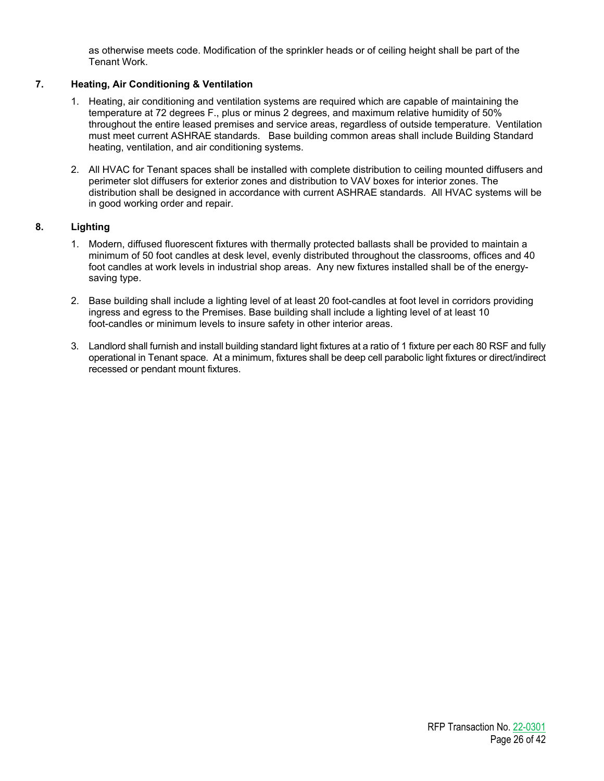as otherwise meets code. Modification of the sprinkler heads or of ceiling height shall be part of the Tenant Work.

## **7. Heating, Air Conditioning & Ventilation**

- 1. Heating, air conditioning and ventilation systems are required which are capable of maintaining the temperature at 72 degrees F., plus or minus 2 degrees, and maximum relative humidity of 50% throughout the entire leased premises and service areas, regardless of outside temperature. Ventilation must meet current ASHRAE standards. Base building common areas shall include Building Standard heating, ventilation, and air conditioning systems.
- 2. All HVAC for Tenant spaces shall be installed with complete distribution to ceiling mounted diffusers and perimeter slot diffusers for exterior zones and distribution to VAV boxes for interior zones. The distribution shall be designed in accordance with current ASHRAE standards. All HVAC systems will be in good working order and repair.

## **8. Lighting**

- 1. Modern, diffused fluorescent fixtures with thermally protected ballasts shall be provided to maintain a minimum of 50 foot candles at desk level, evenly distributed throughout the classrooms, offices and 40 foot candles at work levels in industrial shop areas. Any new fixtures installed shall be of the energysaving type.
- 2. Base building shall include a lighting level of at least 20 foot-candles at foot level in corridors providing ingress and egress to the Premises. Base building shall include a lighting level of at least 10 foot-candles or minimum levels to insure safety in other interior areas.
- 3. Landlord shall furnish and install building standard light fixtures at a ratio of 1 fixture per each 80 RSF and fully operational in Tenant space. At a minimum, fixtures shall be deep cell parabolic light fixtures or direct/indirect recessed or pendant mount fixtures.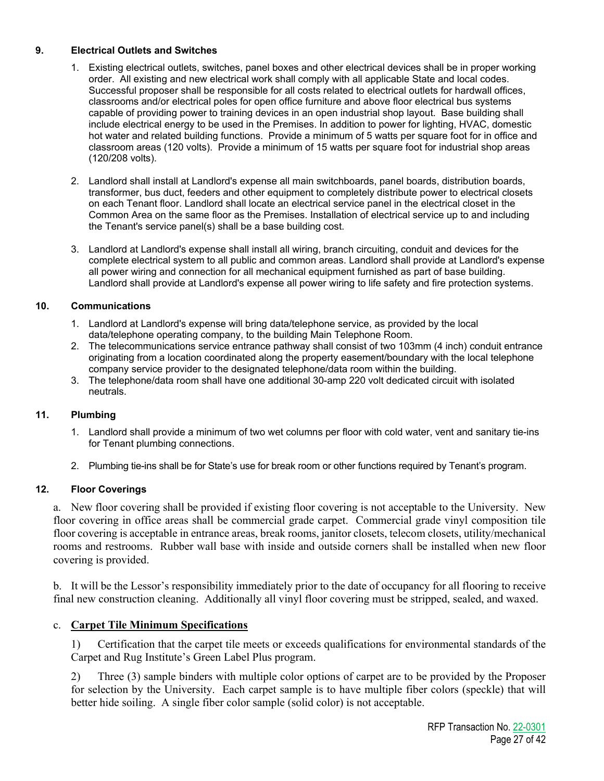## **9. Electrical Outlets and Switches**

- 1. Existing electrical outlets, switches, panel boxes and other electrical devices shall be in proper working order. All existing and new electrical work shall comply with all applicable State and local codes. Successful proposer shall be responsible for all costs related to electrical outlets for hardwall offices, classrooms and/or electrical poles for open office furniture and above floor electrical bus systems capable of providing power to training devices in an open industrial shop layout. Base building shall include electrical energy to be used in the Premises. In addition to power for lighting, HVAC, domestic hot water and related building functions. Provide a minimum of 5 watts per square foot for in office and classroom areas (120 volts). Provide a minimum of 15 watts per square foot for industrial shop areas (120/208 volts).
- 2. Landlord shall install at Landlord's expense all main switchboards, panel boards, distribution boards, transformer, bus duct, feeders and other equipment to completely distribute power to electrical closets on each Tenant floor. Landlord shall locate an electrical service panel in the electrical closet in the Common Area on the same floor as the Premises. Installation of electrical service up to and including the Tenant's service panel(s) shall be a base building cost.
- 3. Landlord at Landlord's expense shall install all wiring, branch circuiting, conduit and devices for the complete electrical system to all public and common areas. Landlord shall provide at Landlord's expense all power wiring and connection for all mechanical equipment furnished as part of base building. Landlord shall provide at Landlord's expense all power wiring to life safety and fire protection systems.

## **10. Communications**

- 1. Landlord at Landlord's expense will bring data/telephone service, as provided by the local data/telephone operating company, to the building Main Telephone Room.
- 2. The telecommunications service entrance pathway shall consist of two 103mm (4 inch) conduit entrance originating from a location coordinated along the property easement/boundary with the local telephone company service provider to the designated telephone/data room within the building.
- 3. The telephone/data room shall have one additional 30-amp 220 volt dedicated circuit with isolated neutrals.

## **11. Plumbing**

- 1. Landlord shall provide a minimum of two wet columns per floor with cold water, vent and sanitary tie-ins for Tenant plumbing connections.
- 2. Plumbing tie-ins shall be for State's use for break room or other functions required by Tenant's program.

## **12. Floor Coverings**

a. New floor covering shall be provided if existing floor covering is not acceptable to the University. New floor covering in office areas shall be commercial grade carpet. Commercial grade vinyl composition tile floor covering is acceptable in entrance areas, break rooms, janitor closets, telecom closets, utility/mechanical rooms and restrooms. Rubber wall base with inside and outside corners shall be installed when new floor covering is provided.

b. It will be the Lessor's responsibility immediately prior to the date of occupancy for all flooring to receive final new construction cleaning. Additionally all vinyl floor covering must be stripped, sealed, and waxed.

## c. **Carpet Tile Minimum Specifications**

1) Certification that the carpet tile meets or exceeds qualifications for environmental standards of the Carpet and Rug Institute's Green Label Plus program.

2) Three (3) sample binders with multiple color options of carpet are to be provided by the Proposer for selection by the University. Each carpet sample is to have multiple fiber colors (speckle) that will better hide soiling. A single fiber color sample (solid color) is not acceptable.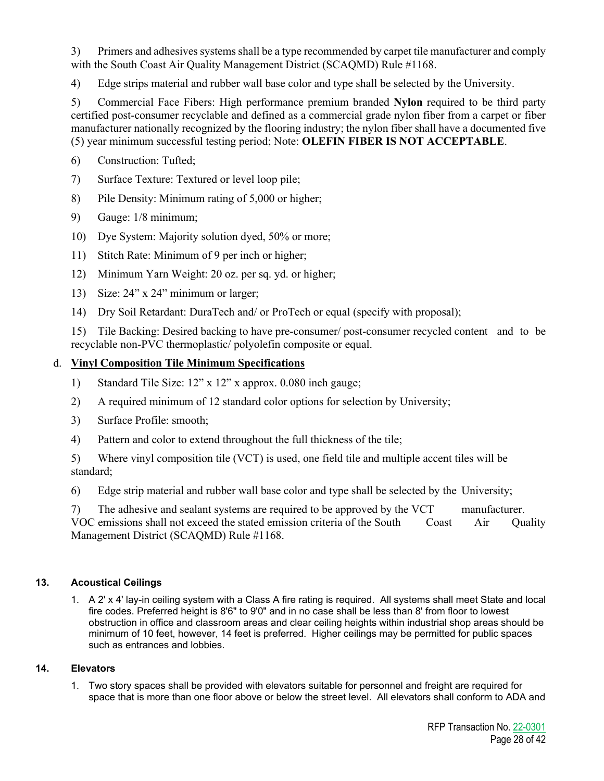3) Primers and adhesives systems shall be a type recommended by carpet tile manufacturer and comply with the South Coast Air Quality Management District (SCAQMD) Rule #1168.

4) Edge strips material and rubber wall base color and type shall be selected by the University.

5) Commercial Face Fibers: High performance premium branded **Nylon** required to be third party certified post-consumer recyclable and defined as a commercial grade nylon fiber from a carpet or fiber manufacturer nationally recognized by the flooring industry; the nylon fiber shall have a documented five (5) year minimum successful testing period; Note: **OLEFIN FIBER IS NOT ACCEPTABLE**.

- 6) Construction: Tufted;
- 7) Surface Texture: Textured or level loop pile;
- 8) Pile Density: Minimum rating of 5,000 or higher;
- 9) Gauge: 1/8 minimum;
- 10) Dye System: Majority solution dyed, 50% or more;
- 11) Stitch Rate: Minimum of 9 per inch or higher;
- 12) Minimum Yarn Weight: 20 oz. per sq. yd. or higher;
- 13) Size: 24" x 24" minimum or larger;
- 14) Dry Soil Retardant: DuraTech and/ or ProTech or equal (specify with proposal);

15) Tile Backing: Desired backing to have pre-consumer/ post-consumer recycled content and to be recyclable non-PVC thermoplastic/ polyolefin composite or equal.

## d. **Vinyl Composition Tile Minimum Specifications**

- 1) Standard Tile Size: 12" x 12" x approx. 0.080 inch gauge;
- 2) A required minimum of 12 standard color options for selection by University;
- 3) Surface Profile: smooth;
- 4) Pattern and color to extend throughout the full thickness of the tile;

5) Where vinyl composition tile (VCT) is used, one field tile and multiple accent tiles will be standard;

6) Edge strip material and rubber wall base color and type shall be selected by the University;

7) The adhesive and sealant systems are required to be approved by the VCT manufacturer. VOC emissions shall not exceed the stated emission criteria of the South Coast Air Quality Management District (SCAQMD) Rule #1168.

## **13. Acoustical Ceilings**

1. A 2' x 4' lay-in ceiling system with a Class A fire rating is required. All systems shall meet State and local fire codes. Preferred height is 8'6" to 9'0" and in no case shall be less than 8' from floor to lowest obstruction in office and classroom areas and clear ceiling heights within industrial shop areas should be minimum of 10 feet, however, 14 feet is preferred. Higher ceilings may be permitted for public spaces such as entrances and lobbies.

## **14. Elevators**

1. Two story spaces shall be provided with elevators suitable for personnel and freight are required for space that is more than one floor above or below the street level. All elevators shall conform to ADA and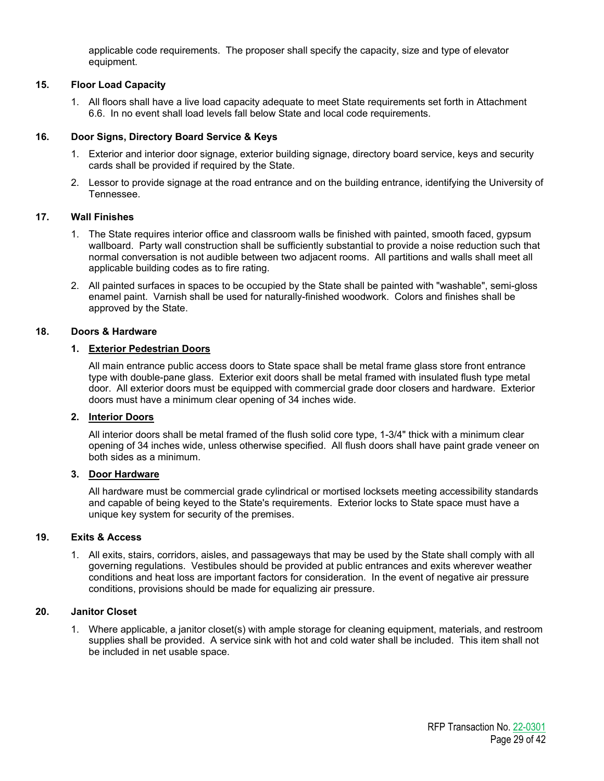applicable code requirements. The proposer shall specify the capacity, size and type of elevator equipment.

## **15. Floor Load Capacity**

1. All floors shall have a live load capacity adequate to meet State requirements set forth in Attachment 6.6. In no event shall load levels fall below State and local code requirements.

## **16. Door Signs, Directory Board Service & Keys**

- 1. Exterior and interior door signage, exterior building signage, directory board service, keys and security cards shall be provided if required by the State.
- 2. Lessor to provide signage at the road entrance and on the building entrance, identifying the University of Tennessee.

## **17. Wall Finishes**

- 1. The State requires interior office and classroom walls be finished with painted, smooth faced, gypsum wallboard. Party wall construction shall be sufficiently substantial to provide a noise reduction such that normal conversation is not audible between two adjacent rooms. All partitions and walls shall meet all applicable building codes as to fire rating.
- 2. All painted surfaces in spaces to be occupied by the State shall be painted with "washable", semi-gloss enamel paint. Varnish shall be used for naturally-finished woodwork. Colors and finishes shall be approved by the State.

## **18. Doors & Hardware**

## **1. Exterior Pedestrian Doors**

All main entrance public access doors to State space shall be metal frame glass store front entrance type with double-pane glass. Exterior exit doors shall be metal framed with insulated flush type metal door. All exterior doors must be equipped with commercial grade door closers and hardware. Exterior doors must have a minimum clear opening of 34 inches wide.

## **2. Interior Doors**

All interior doors shall be metal framed of the flush solid core type, 1-3/4" thick with a minimum clear opening of 34 inches wide, unless otherwise specified. All flush doors shall have paint grade veneer on both sides as a minimum.

## **3. Door Hardware**

All hardware must be commercial grade cylindrical or mortised locksets meeting accessibility standards and capable of being keyed to the State's requirements. Exterior locks to State space must have a unique key system for security of the premises.

## **19. Exits & Access**

1. All exits, stairs, corridors, aisles, and passageways that may be used by the State shall comply with all governing regulations. Vestibules should be provided at public entrances and exits wherever weather conditions and heat loss are important factors for consideration. In the event of negative air pressure conditions, provisions should be made for equalizing air pressure.

## **20. Janitor Closet**

1. Where applicable, a janitor closet(s) with ample storage for cleaning equipment, materials, and restroom supplies shall be provided. A service sink with hot and cold water shall be included. This item shall not be included in net usable space.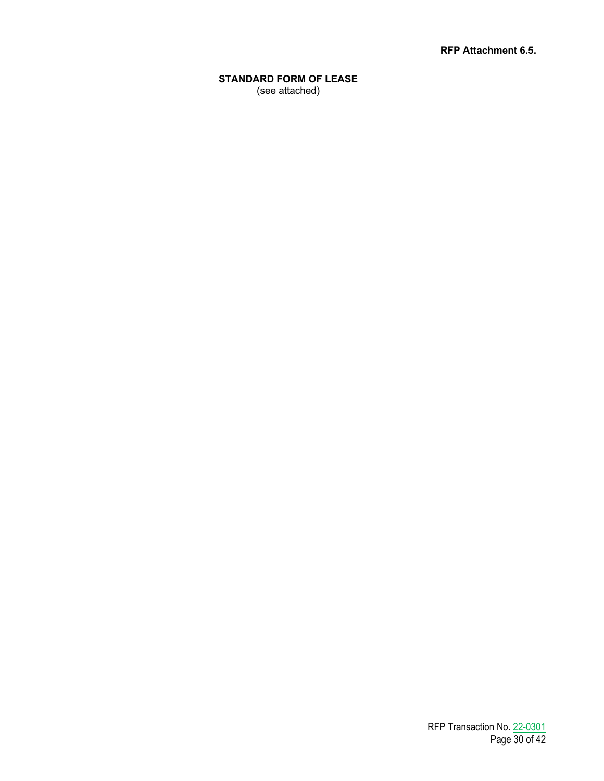**RFP Attachment 6.5.**

**STANDARD FORM OF LEASE** (see attached)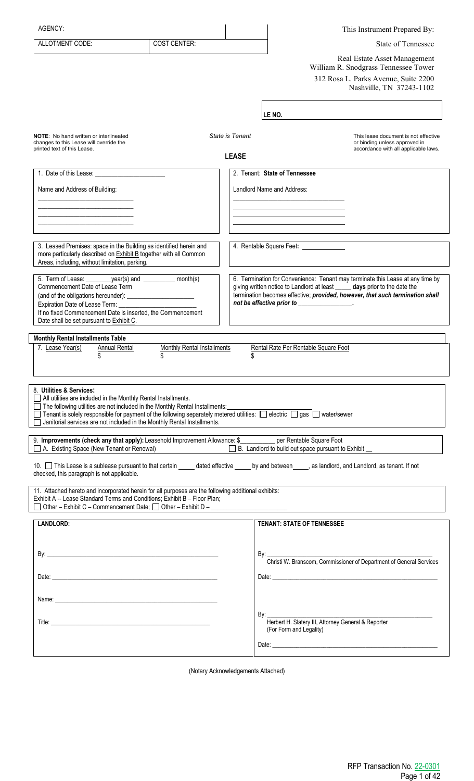| AGENCY:                                                                                                                                                                                                   |                                    |                 |                                                                                                                                                              | This Instrument Prepared By:                                                   |  |
|-----------------------------------------------------------------------------------------------------------------------------------------------------------------------------------------------------------|------------------------------------|-----------------|--------------------------------------------------------------------------------------------------------------------------------------------------------------|--------------------------------------------------------------------------------|--|
| ALLOTMENT CODE:                                                                                                                                                                                           | <b>COST CENTER:</b>                |                 |                                                                                                                                                              | <b>State of Tennessee</b>                                                      |  |
|                                                                                                                                                                                                           |                                    |                 |                                                                                                                                                              | Real Estate Asset Management                                                   |  |
|                                                                                                                                                                                                           |                                    |                 |                                                                                                                                                              | William R. Snodgrass Tennessee Tower<br>312 Rosa L. Parks Avenue, Suite 2200   |  |
|                                                                                                                                                                                                           |                                    |                 |                                                                                                                                                              | Nashville, TN 37243-1102                                                       |  |
|                                                                                                                                                                                                           |                                    |                 |                                                                                                                                                              |                                                                                |  |
|                                                                                                                                                                                                           |                                    |                 | LE NO.                                                                                                                                                       |                                                                                |  |
| <b>NOTE:</b> No hand written or interlineated                                                                                                                                                             |                                    | State is Tenant |                                                                                                                                                              | This lease document is not effective                                           |  |
| changes to this Lease will override the<br>printed text of this Lease.                                                                                                                                    |                                    |                 |                                                                                                                                                              | or binding unless approved in<br>accordance with all applicable laws.          |  |
|                                                                                                                                                                                                           |                                    | <b>LEASE</b>    |                                                                                                                                                              |                                                                                |  |
|                                                                                                                                                                                                           |                                    |                 | 2. Tenant: State of Tennessee                                                                                                                                |                                                                                |  |
| Name and Address of Building:                                                                                                                                                                             |                                    |                 | Landlord Name and Address:                                                                                                                                   |                                                                                |  |
|                                                                                                                                                                                                           |                                    |                 |                                                                                                                                                              |                                                                                |  |
|                                                                                                                                                                                                           |                                    |                 |                                                                                                                                                              |                                                                                |  |
|                                                                                                                                                                                                           |                                    |                 |                                                                                                                                                              |                                                                                |  |
| 3. Leased Premises: space in the Building as identified herein and                                                                                                                                        |                                    |                 | 4. Rentable Square Feet: _______________                                                                                                                     |                                                                                |  |
| more particularly described on Exhibit B together with all Common<br>Areas, including, without limitation, parking.                                                                                       |                                    |                 |                                                                                                                                                              |                                                                                |  |
|                                                                                                                                                                                                           |                                    |                 |                                                                                                                                                              | 6. Termination for Convenience: Tenant may terminate this Lease at any time by |  |
| Commencement Date of Lease Term                                                                                                                                                                           |                                    |                 | giving written notice to Landlord at least _____ days prior to the date the<br>termination becomes effective; provided, however, that such termination shall |                                                                                |  |
| Expiration Date of Lease Term:                                                                                                                                                                            |                                    |                 | not be effective prior to ______________.                                                                                                                    |                                                                                |  |
| If no fixed Commencement Date is inserted, the Commencement<br>Date shall be set pursuant to Exhibit C.                                                                                                   |                                    |                 |                                                                                                                                                              |                                                                                |  |
|                                                                                                                                                                                                           |                                    |                 |                                                                                                                                                              |                                                                                |  |
| <b>Monthly Rental Installments Table</b><br>7. Lease Year(s)<br><b>Annual Rental</b>                                                                                                                      | <b>Monthly Rental Installments</b> |                 | Rental Rate Per Rentable Square Foot                                                                                                                         |                                                                                |  |
|                                                                                                                                                                                                           | \$                                 | \$              |                                                                                                                                                              |                                                                                |  |
|                                                                                                                                                                                                           |                                    |                 |                                                                                                                                                              |                                                                                |  |
| 8. Utilities & Services:                                                                                                                                                                                  |                                    |                 |                                                                                                                                                              |                                                                                |  |
| All utilities are included in the Monthly Rental Installments.<br>The following utilities are not included in the Monthly Rental Installments:                                                            |                                    |                 |                                                                                                                                                              |                                                                                |  |
| □ Tenant is solely responsible for payment of the following separately metered utilities: □ electric □ gas □ water/sewer<br>Janitorial services are not included in the Monthly Rental Installments.<br>П |                                    |                 |                                                                                                                                                              |                                                                                |  |
|                                                                                                                                                                                                           |                                    |                 |                                                                                                                                                              |                                                                                |  |
| 9. Improvements (check any that apply): Leasehold Improvement Allowance: \$___________ per Rentable Square Foot<br>A. Existing Space (New Tenant or Renewal)                                              |                                    |                 | B. Landlord to build out space pursuant to Exhibit                                                                                                           |                                                                                |  |
|                                                                                                                                                                                                           |                                    |                 |                                                                                                                                                              |                                                                                |  |
| 10. This Lease is a sublease pursuant to that certain _____ dated effective _____ by and between ____, as landlord, and Landlord, as tenant. If not<br>checked, this paragraph is not applicable.         |                                    |                 |                                                                                                                                                              |                                                                                |  |
| 11. Attached hereto and incorporated herein for all purposes are the following additional exhibits:                                                                                                       |                                    |                 |                                                                                                                                                              |                                                                                |  |
| Exhibit A -- Lease Standard Terms and Conditions; Exhibit B - Floor Plan;<br>□ Other - Exhibit C - Commencement Date; □ Other - Exhibit D - _____________                                                 |                                    |                 |                                                                                                                                                              |                                                                                |  |
|                                                                                                                                                                                                           |                                    |                 |                                                                                                                                                              |                                                                                |  |
| <b>LANDLORD:</b>                                                                                                                                                                                          |                                    |                 | <b>TENANT: STATE OF TENNESSEE</b>                                                                                                                            |                                                                                |  |
|                                                                                                                                                                                                           |                                    |                 |                                                                                                                                                              |                                                                                |  |
|                                                                                                                                                                                                           |                                    |                 |                                                                                                                                                              | By: Christi W. Branscom, Commissioner of Department of General Services        |  |
|                                                                                                                                                                                                           |                                    |                 |                                                                                                                                                              |                                                                                |  |
|                                                                                                                                                                                                           |                                    |                 |                                                                                                                                                              |                                                                                |  |
|                                                                                                                                                                                                           |                                    |                 |                                                                                                                                                              |                                                                                |  |
|                                                                                                                                                                                                           |                                    |                 |                                                                                                                                                              |                                                                                |  |
|                                                                                                                                                                                                           |                                    |                 | (For Form and Legality)                                                                                                                                      |                                                                                |  |
|                                                                                                                                                                                                           |                                    |                 |                                                                                                                                                              |                                                                                |  |
|                                                                                                                                                                                                           |                                    |                 |                                                                                                                                                              |                                                                                |  |

(Notary Acknowledgements Attached)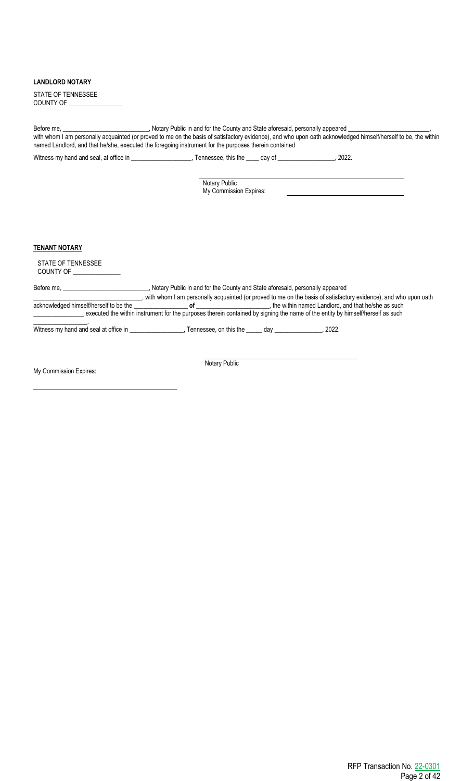## **LANDLORD NOTARY**

| STATE OF TENNESSEE |  |
|--------------------|--|
| <b>COUNTY OF</b>   |  |

Before me, **\_\_\_\_\_\_\_\_\_\_\_\_\_\_\_\_\_\_\_\_\_\_\_\_\_\_**, Notary Public in and for the County and State aforesaid, personally appeared with whom I am personally acquainted (or proved to me on the basis of satisfactory evidence), and who upon oath acknowledged himself/herself to be, the within named Landlord, and that he/she, executed the foregoing instrument for the purposes therein contained

Witness my hand and seal, at office in \_\_\_\_\_\_\_\_\_\_\_\_\_\_\_\_, Tennessee, this the \_\_\_\_ day of \_\_\_\_\_\_\_\_\_\_\_\_\_\_\_\_, 2022.

Notary Public My Commission Expires:

## **TENANT NOTARY**

STATE OF TENNESSEE COUNTY OF

Before me, \_\_\_\_\_\_\_\_\_\_\_\_\_\_\_\_\_\_\_\_\_\_\_\_\_\_\_, Notary Public in and for the County and State aforesaid, personally appeared **\_\_\_\_\_\_\_\_\_\_\_\_\_\_\_\_\_\_\_\_\_\_\_\_\_\_\_\_\_\_**, with whom I am personally acquainted (or proved to me on the basis of satisfactory evidence), and who upon oath acknowledged himself/herself to be the **\_\_\_\_\_\_\_\_\_\_\_\_\_\_\_\_\_ of \_\_\_\_\_\_\_\_\_\_\_\_\_\_\_\_\_\_\_\_\_\_\_**, the within named Landlord, and that he/she as such executed the within instrument for the purposes therein contained by signing the name of the entity by himself/herself as such \_\_\_\_\_\_\_\_\_\_\_\_\_\_\_\_\_.

Witness my hand and seal at office in \_\_\_\_\_\_\_\_\_\_\_\_\_\_\_\_\_, Tennessee, on this the \_\_\_\_\_ day \_\_\_\_\_\_\_\_\_\_\_\_\_\_\_, 2022.

My Commission Expires:

Notary Public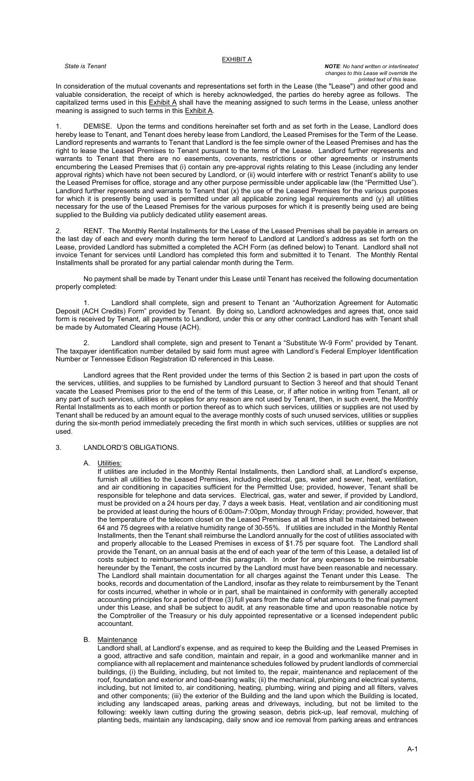#### **EXHIBIT A**

#### *State is Tenant NOTE: No hand written or interlineated changes to this Lease will override the printed text of this lease.*

In consideration of the mutual covenants and representations set forth in the Lease (the "Lease") and other good and valuable consideration, the receipt of which is hereby acknowledged, the parties do hereby agree as follows. The capitalized terms used in this <u>Exhibit A</u> shall have the meaning assigned to such terms in the Lease, unless another meaning is assigned to such terms in this Exhibit A.

DEMISE. Upon the terms and conditions hereinafter set forth and as set forth in the Lease, Landlord does hereby lease to Tenant, and Tenant does hereby lease from Landlord, the Leased Premises for the Term of the Lease. Landlord represents and warrants to Tenant that Landlord is the fee simple owner of the Leased Premises and has the right to lease the Leased Premises to Tenant pursuant to the terms of the Lease. Landlord further represents and warrants to Tenant that there are no easements, covenants, restrictions or other agreements or instruments encumbering the Leased Premises that (i) contain any pre-approval rights relating to this Lease (including any lender approval rights) which have not been secured by Landlord, or (ii) would interfere with or restrict Tenant's ability to use the Leased Premises for office, storage and any other purpose permissible under applicable law (the "Permitted Use"). Landlord further represents and warrants to Tenant that (x) the use of the Leased Premises for the various purposes for which it is presently being used is permitted under all applicable zoning legal requirements and (y) all utilities necessary for the use of the Leased Premises for the various purposes for which it is presently being used are being supplied to the Building via publicly dedicated utility easement areas.

RENT. The Monthly Rental Installments for the Lease of the Leased Premises shall be payable in arrears on the last day of each and every month during the term hereof to Landlord at Landlord's address as set forth on the Lease, provided Landlord has submitted a completed the ACH Form (as defined below) to Tenant. Landlord shall not invoice Tenant for services until Landlord has completed this form and submitted it to Tenant. The Monthly Rental Installments shall be prorated for any partial calendar month during the Term.

No payment shall be made by Tenant under this Lease until Tenant has received the following documentation properly completed:

1. Landlord shall complete, sign and present to Tenant an "Authorization Agreement for Automatic Deposit (ACH Credits) Form" provided by Tenant. By doing so, Landlord acknowledges and agrees that, once said form is received by Tenant, all payments to Landlord, under this or any other contract Landlord has with Tenant shall be made by Automated Clearing House (ACH).

Landlord shall complete, sign and present to Tenant a "Substitute W-9 Form" provided by Tenant. The taxpayer identification number detailed by said form must agree with Landlord's Federal Employer Identification Number or Tennessee Edison Registration ID referenced in this Lease.

Landlord agrees that the Rent provided under the terms of this Section 2 is based in part upon the costs of the services, utilities, and supplies to be furnished by Landlord pursuant to Section 3 hereof and that should Tenant vacate the Leased Premises prior to the end of the term of this Lease, or, if after notice in writing from Tenant, all or any part of such services, utilities or supplies for any reason are not used by Tenant, then, in such event, the Monthly Rental Installments as to each month or portion thereof as to which such services, utilities or supplies are not used by Tenant shall be reduced by an amount equal to the average monthly costs of such unused services, utilities or supplies during the six-month period immediately preceding the first month in which such services, utilities or supplies are not used.

## 3. LANDLORD'S OBLIGATIONS.

A. Utilities:

If utilities are included in the Monthly Rental Installments, then Landlord shall, at Landlord's expense, furnish all utilities to the Leased Premises, including electrical, gas, water and sewer, heat, ventilation, and air conditioning in capacities sufficient for the Permitted Use; provided, however, Tenant shall be responsible for telephone and data services. Electrical, gas, water and sewer, if provided by Landlord, must be provided on a 24 hours per day, 7 days a week basis. Heat, ventilation and air conditioning must be provided at least during the hours of 6:00am-7:00pm, Monday through Friday; provided, however, that the temperature of the telecom closet on the Leased Premises at all times shall be maintained between 64 and 75 degrees with a relative humidity range of 30-55%. If utilities are included in the Monthly Rental Installments, then the Tenant shall reimburse the Landlord annually for the cost of utilities associated with and properly allocable to the Leased Premises in excess of \$1.75 per square foot. The Landlord shall provide the Tenant, on an annual basis at the end of each year of the term of this Lease, a detailed list of costs subject to reimbursement under this paragraph. In order for any expenses to be reimbursable hereunder by the Tenant, the costs incurred by the Landlord must have been reasonable and necessary. The Landlord shall maintain documentation for all charges against the Tenant under this Lease. The books, records and documentation of the Landlord, insofar as they relate to reimbursement by the Tenant for costs incurred, whether in whole or in part, shall be maintained in conformity with generally accepted accounting principles for a period of three (3) full years from the date of what amounts to the final payment under this Lease, and shall be subject to audit, at any reasonable time and upon reasonable notice by the Comptroller of the Treasury or his duly appointed representative or a licensed independent public accountant.

#### B. Maintenance

Landlord shall, at Landlord's expense, and as required to keep the Building and the Leased Premises in a good, attractive and safe condition, maintain and repair, in a good and workmanlike manner and in compliance with all replacement and maintenance schedules followed by prudent landlords of commercial buildings, (i) the Building, including, but not limited to, the repair, maintenance and replacement of the roof, foundation and exterior and load-bearing walls; (ii) the mechanical, plumbing and electrical systems, including, but not limited to, air conditioning, heating, plumbing, wiring and piping and all filters, valves and other components; (iii) the exterior of the Building and the land upon which the Building is located, including any landscaped areas, parking areas and driveways, including, but not be limited to the following: weekly lawn cutting during the growing season, debris pick-up, leaf removal, mulching of planting beds, maintain any landscaping, daily snow and ice removal from parking areas and entrances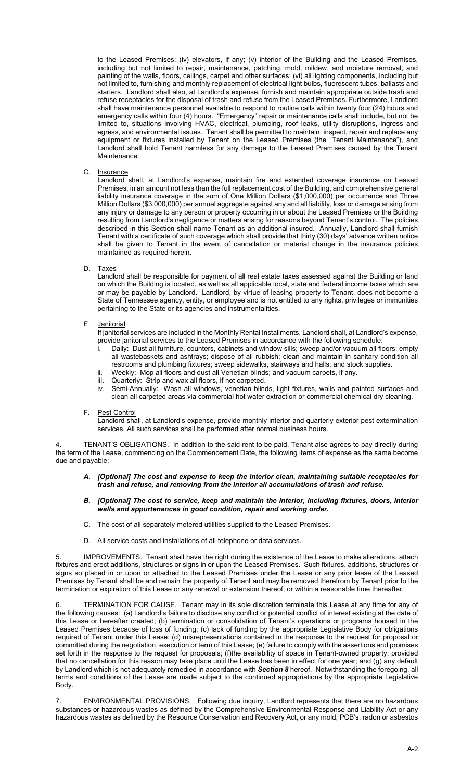to the Leased Premises; (iv) elevators, if any; (v) interior of the Building and the Leased Premises, including but not limited to repair, maintenance, patching, mold, mildew, and moisture removal, and painting of the walls, floors, ceilings, carpet and other surfaces; (vi) all lighting components, including but not limited to, furnishing and monthly replacement of electrical light bulbs, fluorescent tubes, ballasts and starters. Landlord shall also, at Landlord's expense, furnish and maintain appropriate outside trash and refuse receptacles for the disposal of trash and refuse from the Leased Premises. Furthermore, Landlord shall have maintenance personnel available to respond to routine calls within twenty four (24) hours and emergency calls within four (4) hours. "Emergency" repair or maintenance calls shall include, but not be limited to, situations involving HVAC, electrical, plumbing, roof leaks, utility disruptions, ingress and egress, and environmental issues. Tenant shall be permitted to maintain, inspect, repair and replace any equipment or fixtures installed by Tenant on the Leased Premises (the "Tenant Maintenance"), and Landlord shall hold Tenant harmless for any damage to the Leased Premises caused by the Tenant Maintenance.

C. Insurance

Landlord shall, at Landlord's expense, maintain fire and extended coverage insurance on Leased Premises, in an amount not less than the full replacement cost of the Building, and comprehensive general liability insurance coverage in the sum of One Million Dollars (\$1,000,000) per occurrence and Three Million Dollars (\$3,000,000) per annual aggregate against any and all liability, loss or damage arising from any injury or damage to any person or property occurring in or about the Leased Premises or the Building resulting from Landlord's negligence or matters arising for reasons beyond Tenant's control. The policies described in this Section shall name Tenant as an additional insured. Annually, Landlord shall furnish Tenant with a certificate of such coverage which shall provide that thirty (30) days' advance written notice shall be given to Tenant in the event of cancellation or material change in the insurance policies maintained as required herein.

#### D. Taxes

Landlord shall be responsible for payment of all real estate taxes assessed against the Building or land on which the Building is located, as well as all applicable local, state and federal income taxes which are or may be payable by Landlord. Landlord, by virtue of leasing property to Tenant, does not become a State of Tennessee agency, entity, or employee and is not entitled to any rights, privileges or immunities pertaining to the State or its agencies and instrumentalities.

#### E. <u>Janitorial</u>

If janitorial services are included in the Monthly Rental Installments, Landlord shall, at Landlord's expense, provide janitorial services to the Leased Premises in accordance with the following schedule:

- Daily: Dust all furniture, counters, cabinets and window sills; sweep and/or vacuum all floors; empty all wastebaskets and ashtrays; dispose of all rubbish; clean and maintain in sanitary condition all restrooms and plumbing fixtures; sweep sidewalks, stairways and halls; and stock supplies.
- ii. Weekly: Mop all floors and dust all Venetian blinds; and vacuum carpets, if any.
- Quarterly: Strip and wax all floors, if not carpeted.
- iv. Semi-Annually: Wash all windows, venetian blinds, light fixtures, walls and painted surfaces and clean all carpeted areas via commercial hot water extraction or commercial chemical dry cleaning.

## F. Pest Control

Landlord shall, at Landlord's expense, provide monthly interior and quarterly exterior pest extermination services. All such services shall be performed after normal business hours.

TENANT'S OBLIGATIONS. In addition to the said rent to be paid, Tenant also agrees to pay directly during the term of the Lease, commencing on the Commencement Date, the following items of expense as the same become due and payable:

- *A. [Optional] The cost and expense to keep the interior clean, maintaining suitable receptacles for trash and refuse, and removing from the interior all accumulations of trash and refuse.*
- *B. [Optional] The cost to service, keep and maintain the interior, including fixtures, doors, interior walls and appurtenances in good condition, repair and working order.*
- C. The cost of all separately metered utilities supplied to the Leased Premises.
- D. All service costs and installations of all telephone or data services.

IMPROVEMENTS. Tenant shall have the right during the existence of the Lease to make alterations, attach fixtures and erect additions, structures or signs in or upon the Leased Premises. Such fixtures, additions, structures or signs so placed in or upon or attached to the Leased Premises under the Lease or any prior lease of the Leased Premises by Tenant shall be and remain the property of Tenant and may be removed therefrom by Tenant prior to the termination or expiration of this Lease or any renewal or extension thereof, or within a reasonable time thereafter.

6. TERMINATION FOR CAUSE. Tenant may in its sole discretion terminate this Lease at any time for any of the following causes: (a) Landlord's failure to disclose any conflict or potential conflict of interest existing at the date of this Lease or hereafter created; (b) termination or consolidation of Tenant's operations or programs housed in the Leased Premises because of loss of funding; (c) lack of funding by the appropriate Legislative Body for obligations required of Tenant under this Lease; (d) misrepresentations contained in the response to the request for proposal or committed during the negotiation, execution or term of this Lease; (e) failure to comply with the assertions and promises set forth in the response to the request for proposals; (f)the availability of space in Tenant-owned property, provided that no cancellation for this reason may take place until the Lease has been in effect for one year; and (g) any default by Landlord which is not adequately remedied in accordance with *Section 8* hereof. Notwithstanding the foregoing, all terms and conditions of the Lease are made subject to the continued appropriations by the appropriate Legislative Body.

ENVIRONMENTAL PROVISIONS. Following due inquiry, Landlord represents that there are no hazardous substances or hazardous wastes as defined by the Comprehensive Environmental Response and Liability Act or any hazardous wastes as defined by the Resource Conservation and Recovery Act, or any mold, PCB's, radon or asbestos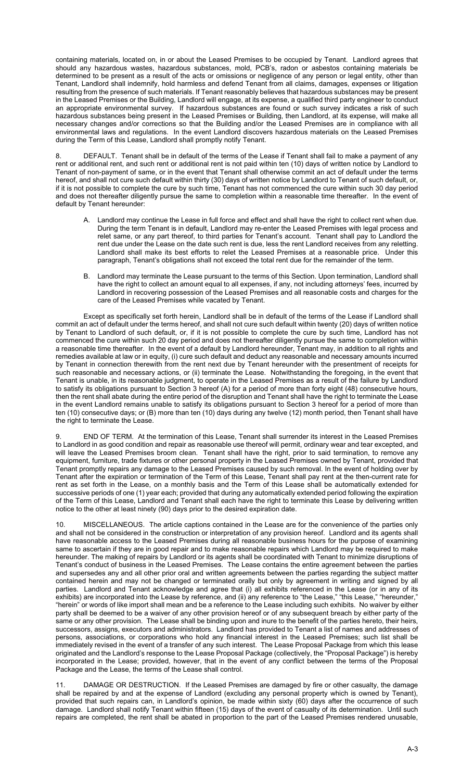containing materials, located on, in or about the Leased Premises to be occupied by Tenant. Landlord agrees that should any hazardous wastes, hazardous substances, mold, PCB's, radon or asbestos containing materials be determined to be present as a result of the acts or omissions or negligence of any person or legal entity, other than Tenant, Landlord shall indemnify, hold harmless and defend Tenant from all claims, damages, expenses or litigation resulting from the presence of such materials. If Tenant reasonably believes that hazardous substances may be present in the Leased Premises or the Building, Landlord will engage, at its expense, a qualified third party engineer to conduct an appropriate environmental survey. If hazardous substances are found or such survey indicates a risk of such hazardous substances being present in the Leased Premises or Building, then Landlord, at its expense, will make all necessary changes and/or corrections so that the Building and/or the Leased Premises are in compliance with all environmental laws and regulations. In the event Landlord discovers hazardous materials on the Leased Premises during the Term of this Lease, Landlord shall promptly notify Tenant.

DEFAULT. Tenant shall be in default of the terms of the Lease if Tenant shall fail to make a payment of any rent or additional rent, and such rent or additional rent is not paid within ten (10) days of written notice by Landlord to Tenant of non-payment of same, or in the event that Tenant shall otherwise commit an act of default under the terms hereof, and shall not cure such default within thirty (30) days of written notice by Landlord to Tenant of such default, or, if it is not possible to complete the cure by such time, Tenant has not commenced the cure within such 30 day period and does not thereafter diligently pursue the same to completion within a reasonable time thereafter. In the event of default by Tenant hereunder:

- A. Landlord may continue the Lease in full force and effect and shall have the right to collect rent when due. During the term Tenant is in default, Landlord may re-enter the Leased Premises with legal process and relet same, or any part thereof, to third parties for Tenant's account. Tenant shall pay to Landlord the rent due under the Lease on the date such rent is due, less the rent Landlord receives from any reletting. Landlord shall make its best efforts to relet the Leased Premises at a reasonable price. Under this paragraph, Tenant's obligations shall not exceed the total rent due for the remainder of the term.
- B. Landlord may terminate the Lease pursuant to the terms of this Section. Upon termination, Landlord shall have the right to collect an amount equal to all expenses, if any, not including attorneys' fees, incurred by Landlord in recovering possession of the Leased Premises and all reasonable costs and charges for the care of the Leased Premises while vacated by Tenant.

Except as specifically set forth herein, Landlord shall be in default of the terms of the Lease if Landlord shall commit an act of default under the terms hereof, and shall not cure such default within twenty (20) days of written notice by Tenant to Landlord of such default, or, if it is not possible to complete the cure by such time, Landlord has not commenced the cure within such 20 day period and does not thereafter diligently pursue the same to completion within a reasonable time thereafter. In the event of a default by Landlord hereunder, Tenant may, in addition to all rights and remedies available at law or in equity, (i) cure such default and deduct any reasonable and necessary amounts incurred by Tenant in connection therewith from the rent next due by Tenant hereunder with the presentment of receipts for such reasonable and necessary actions, or (ii) terminate the Lease. Notwithstanding the foregoing, in the event that Tenant is unable, in its reasonable judgment, to operate in the Leased Premises as a result of the failure by Landlord to satisfy its obligations pursuant to Section 3 hereof (A) for a period of more than forty eight (48) consecutive hours, then the rent shall abate during the entire period of the disruption and Tenant shall have the right to terminate the Lease in the event Landlord remains unable to satisfy its obligations pursuant to Section 3 hereof for a period of more than ten (10) consecutive days; or (B) more than ten (10) days during any twelve (12) month period, then Tenant shall have the right to terminate the Lease.

9. END OF TERM. At the termination of this Lease, Tenant shall surrender its interest in the Leased Premises to Landlord in as good condition and repair as reasonable use thereof will permit, ordinary wear and tear excepted, and will leave the Leased Premises broom clean. Tenant shall have the right, prior to said termination, to remove any equipment, furniture, trade fixtures or other personal property in the Leased Premises owned by Tenant, provided that Tenant promptly repairs any damage to the Leased Premises caused by such removal. In the event of holding over by Tenant after the expiration or termination of the Term of this Lease, Tenant shall pay rent at the then-current rate for rent as set forth in the Lease, on a monthly basis and the Term of this Lease shall be automatically extended for successive periods of one (1) year each; provided that during any automatically extended period following the expiration of the Term of this Lease, Landlord and Tenant shall each have the right to terminate this Lease by delivering written notice to the other at least ninety (90) days prior to the desired expiration date.

10. MISCELLANEOUS. The article captions contained in the Lease are for the convenience of the parties only and shall not be considered in the construction or interpretation of any provision hereof. Landlord and its agents shall have reasonable access to the Leased Premises during all reasonable business hours for the purpose of examining same to ascertain if they are in good repair and to make reasonable repairs which Landlord may be required to make hereunder. The making of repairs by Landlord or its agents shall be coordinated with Tenant to minimize disruptions of Tenant's conduct of business in the Leased Premises. The Lease contains the entire agreement between the parties and supersedes any and all other prior oral and written agreements between the parties regarding the subject matter contained herein and may not be changed or terminated orally but only by agreement in writing and signed by all parties. Landlord and Tenant acknowledge and agree that (i) all exhibits referenced in the Lease (or in any of its exhibits) are incorporated into the Lease by reference, and (ii) any reference to "the Lease," "this Lease," "hereunder," "herein" or words of like import shall mean and be a reference to the Lease including such exhibits. No waiver by either party shall be deemed to be a waiver of any other provision hereof or of any subsequent breach by either party of the same or any other provision. The Lease shall be binding upon and inure to the benefit of the parties hereto, their heirs, successors, assigns, executors and administrators. Landlord has provided to Tenant a list of names and addresses of persons, associations, or corporations who hold any financial interest in the Leased Premises; such list shall be immediately revised in the event of a transfer of any such interest. The Lease Proposal Package from which this lease originated and the Landlord's response to the Lease Proposal Package (collectively, the "Proposal Package") is hereby incorporated in the Lease; provided, however, that in the event of any conflict between the terms of the Proposal Package and the Lease, the terms of the Lease shall control.

DAMAGE OR DESTRUCTION. If the Leased Premises are damaged by fire or other casualty, the damage shall be repaired by and at the expense of Landlord (excluding any personal property which is owned by Tenant), provided that such repairs can, in Landlord's opinion, be made within sixty (60) days after the occurrence of such damage. Landlord shall notify Tenant within fifteen (15) days of the event of casualty of its determination. Until such repairs are completed, the rent shall be abated in proportion to the part of the Leased Premises rendered unusable,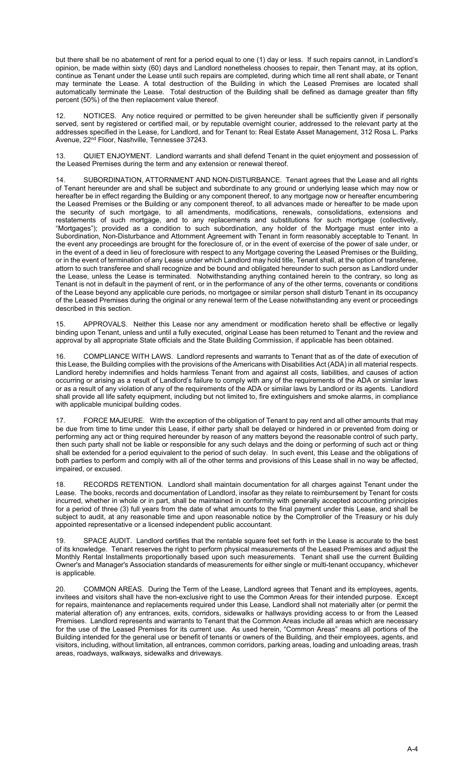but there shall be no abatement of rent for a period equal to one (1) day or less. If such repairs cannot, in Landlord's opinion, be made within sixty (60) days and Landlord nonetheless chooses to repair, then Tenant may, at its option, continue as Tenant under the Lease until such repairs are completed, during which time all rent shall abate, or Tenant may terminate the Lease. A total destruction of the Building in which the Leased Premises are located shall automatically terminate the Lease. Total destruction of the Building shall be defined as damage greater than fifty percent (50%) of the then replacement value thereof.

12. NOTICES. Any notice required or permitted to be given hereunder shall be sufficiently given if personally served, sent by registered or certified mail, or by reputable overnight courier, addressed to the relevant party at the addresses specified in the Lease, for Landlord, and for Tenant to: Real Estate Asset Management, 312 Rosa L. Parks Avenue, 22nd Floor, Nashville, Tennessee 37243.

13. QUIET ENJOYMENT. Landlord warrants and shall defend Tenant in the quiet enjoyment and possession of the Leased Premises during the term and any extension or renewal thereof.

14. SUBORDINATION, ATTORNMENT AND NON-DISTURBANCE. Tenant agrees that the Lease and all rights of Tenant hereunder are and shall be subject and subordinate to any ground or underlying lease which may now or hereafter be in effect regarding the Building or any component thereof, to any mortgage now or hereafter encumbering the Leased Premises or the Building or any component thereof, to all advances made or hereafter to be made upon the security of such mortgage, to all amendments, modifications, renewals, consolidations, extensions and restatements of such mortgage, and to any replacements and substitutions for such mortgage (collectively, "Mortgages"); provided as a condition to such subordination, any holder of the Mortgage must enter into a Subordination, Non-Disturbance and Attornment Agreement with Tenant in form reasonably acceptable to Tenant. In the event any proceedings are brought for the foreclosure of, or in the event of exercise of the power of sale under, or in the event of a deed in lieu of foreclosure with respect to any Mortgage covering the Leased Premises or the Building, or in the event of termination of any Lease under which Landlord may hold title, Tenant shall, at the option of transferee, attorn to such transferee and shall recognize and be bound and obligated hereunder to such person as Landlord under the Lease, unless the Lease is terminated. Notwithstanding anything contained herein to the contrary, so long as Tenant is not in default in the payment of rent, or in the performance of any of the other terms, covenants or conditions of the Lease beyond any applicable cure periods, no mortgagee or similar person shall disturb Tenant in its occupancy of the Leased Premises during the original or any renewal term of the Lease notwithstanding any event or proceedings described in this section.

15. APPROVALS. Neither this Lease nor any amendment or modification hereto shall be effective or legally binding upon Tenant, unless and until a fully executed, original Lease has been returned to Tenant and the review and approval by all appropriate State officials and the State Building Commission, if applicable has been obtained.

16. COMPLIANCE WITH LAWS. Landlord represents and warrants to Tenant that as of the date of execution of this Lease, the Building complies with the provisions of the Americans with Disabilities Act (ADA) in all material respects. Landlord hereby indemnifies and holds harmless Tenant from and against all costs, liabilities, and causes of action occurring or arising as a result of Landlord's failure to comply with any of the requirements of the ADA or similar laws or as a result of any violation of any of the requirements of the ADA or similar laws by Landlord or its agents. Landlord shall provide all life safety equipment, including but not limited to, fire extinguishers and smoke alarms, in compliance with applicable municipal building codes.

17. FORCE MAJEURE. With the exception of the obligation of Tenant to pay rent and all other amounts that may be due from time to time under this Lease, if either party shall be delayed or hindered in or prevented from doing or performing any act or thing required hereunder by reason of any matters beyond the reasonable control of such party, then such party shall not be liable or responsible for any such delays and the doing or performing of such act or thing shall be extended for a period equivalent to the period of such delay. In such event, this Lease and the obligations of both parties to perform and comply with all of the other terms and provisions of this Lease shall in no way be affected, impaired, or excused.

18. RECORDS RETENTION. Landlord shall maintain documentation for all charges against Tenant under the Lease. The books, records and documentation of Landlord, insofar as they relate to reimbursement by Tenant for costs incurred, whether in whole or in part, shall be maintained in conformity with generally accepted accounting principles for a period of three (3) full years from the date of what amounts to the final payment under this Lease, and shall be subject to audit, at any reasonable time and upon reasonable notice by the Comptroller of the Treasury or his duly appointed representative or a licensed independent public accountant.

19. SPACE AUDIT. Landlord certifies that the rentable square feet set forth in the Lease is accurate to the best of its knowledge. Tenant reserves the right to perform physical measurements of the Leased Premises and adjust the Monthly Rental Installments proportionally based upon such measurements. Tenant shall use the current Building Owner's and Manager's Association standards of measurements for either single or multi-tenant occupancy, whichever is applicable.

20. COMMON AREAS. During the Term of the Lease, Landlord agrees that Tenant and its employees, agents, invitees and visitors shall have the non-exclusive right to use the Common Areas for their intended purpose. Except for repairs, maintenance and replacements required under this Lease, Landlord shall not materially alter (or permit the material alteration of) any entrances, exits, corridors, sidewalks or hallways providing access to or from the Leased Premises. Landlord represents and warrants to Tenant that the Common Areas include all areas which are necessary for the use of the Leased Premises for its current use. As used herein, "Common Areas" means all portions of the Building intended for the general use or benefit of tenants or owners of the Building, and their employees, agents, and visitors, including, without limitation, all entrances, common corridors, parking areas, loading and unloading areas, trash areas, roadways, walkways, sidewalks and driveways.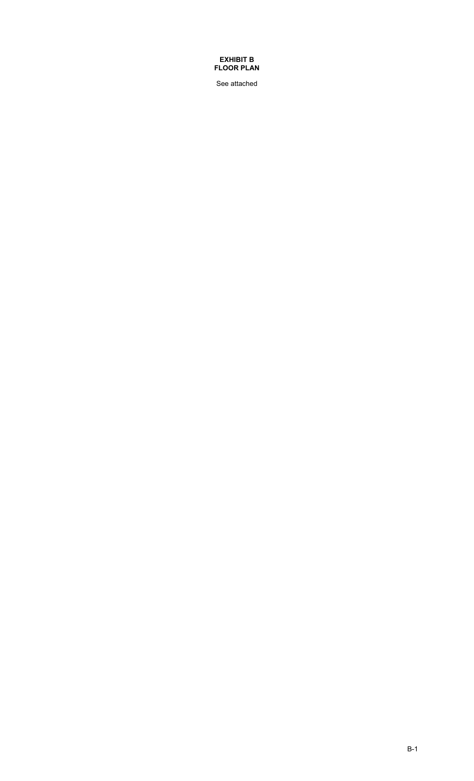## **EXHIBIT B FLOOR PLAN**

See attached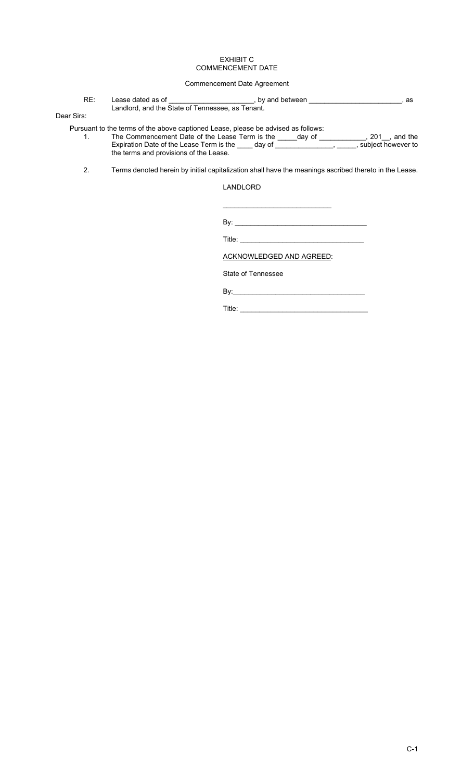#### EXHIBIT C COMMENCEMENT DATE

## Commencement Date Agreement

RE: Lease dated as of \_\_\_\_\_\_\_\_\_\_\_\_\_\_\_\_\_\_\_\_\_\_, by and between \_\_\_\_\_\_\_\_\_\_\_\_\_\_\_\_\_\_\_\_\_\_\_\_, as Landlord, and the State of Tennessee, as Tenant.

## Dear Sirs:

Pursuant to the terms of the above captioned Lease, please be advised as follows: 1. The Commencement Date of the Lease Term is the \_\_\_\_\_day of \_\_\_\_\_\_\_\_\_\_\_\_, 201\_\_, and the Expiration Date of the Lease Term is the \_\_\_\_ day of \_\_\_\_\_\_\_\_\_\_\_\_\_\_\_\_, \_\_\_\_\_, subject however to the terms and provisions of the Lease.

2. Terms denoted herein by initial capitalization shall have the meanings ascribed thereto in the Lease.

## LANDLORD

By: \_\_\_\_\_\_\_\_\_\_\_\_\_\_\_\_\_\_\_\_\_\_\_\_\_\_\_\_\_\_\_\_\_\_

Title:  $\Box$ 

ACKNOWLEDGED AND AGREED:

\_\_\_\_\_\_\_\_\_\_\_\_\_\_\_\_\_\_\_\_\_\_\_\_\_\_\_\_

State of Tennessee

By:\_\_\_\_\_\_\_\_\_\_\_\_\_\_\_\_\_\_\_\_\_\_\_\_\_\_\_\_\_\_\_\_\_\_

Title: \_\_\_\_\_\_\_\_\_\_\_\_\_\_\_\_\_\_\_\_\_\_\_\_\_\_\_\_\_\_\_\_\_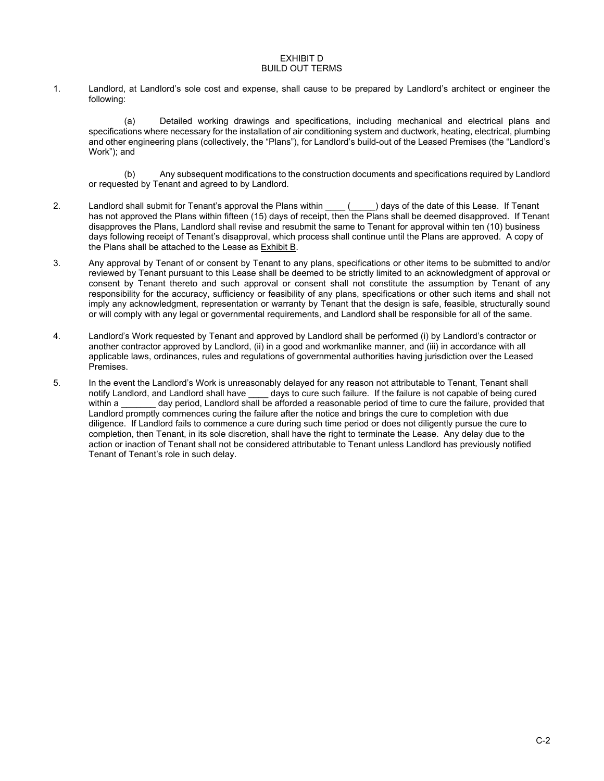#### EXHIBIT D BUILD OUT TERMS

1. Landlord, at Landlord's sole cost and expense, shall cause to be prepared by Landlord's architect or engineer the following:

(a) Detailed working drawings and specifications, including mechanical and electrical plans and specifications where necessary for the installation of air conditioning system and ductwork, heating, electrical, plumbing and other engineering plans (collectively, the "Plans"), for Landlord's build-out of the Leased Premises (the "Landlord's Work"); and

(b) Any subsequent modifications to the construction documents and specifications required by Landlord or requested by Tenant and agreed to by Landlord.

- 2. Landlord shall submit for Tenant's approval the Plans within \_\_\_ (\_\_\_\_) days of the date of this Lease. If Tenant has not approved the Plans within fifteen (15) days of receipt, then the Plans shall be deemed disapproved. If Tenant disapproves the Plans, Landlord shall revise and resubmit the same to Tenant for approval within ten (10) business days following receipt of Tenant's disapproval, which process shall continue until the Plans are approved. A copy of the Plans shall be attached to the Lease as Exhibit B.
- 3. Any approval by Tenant of or consent by Tenant to any plans, specifications or other items to be submitted to and/or reviewed by Tenant pursuant to this Lease shall be deemed to be strictly limited to an acknowledgment of approval or consent by Tenant thereto and such approval or consent shall not constitute the assumption by Tenant of any responsibility for the accuracy, sufficiency or feasibility of any plans, specifications or other such items and shall not imply any acknowledgment, representation or warranty by Tenant that the design is safe, feasible, structurally sound or will comply with any legal or governmental requirements, and Landlord shall be responsible for all of the same.
- 4. Landlord's Work requested by Tenant and approved by Landlord shall be performed (i) by Landlord's contractor or another contractor approved by Landlord, (ii) in a good and workmanlike manner, and (iii) in accordance with all applicable laws, ordinances, rules and regulations of governmental authorities having jurisdiction over the Leased Premises.
- 5. In the event the Landlord's Work is unreasonably delayed for any reason not attributable to Tenant, Tenant shall notify Landlord, and Landlord shall have days to cure such failure. If the failure is not capable of being cured within a caread are day period, Landlord shall be afforded a reasonable period of time to cure the failure, provided that Landlord promptly commences curing the failure after the notice and brings the cure to completion with due diligence. If Landlord fails to commence a cure during such time period or does not diligently pursue the cure to completion, then Tenant, in its sole discretion, shall have the right to terminate the Lease. Any delay due to the action or inaction of Tenant shall not be considered attributable to Tenant unless Landlord has previously notified Tenant of Tenant's role in such delay.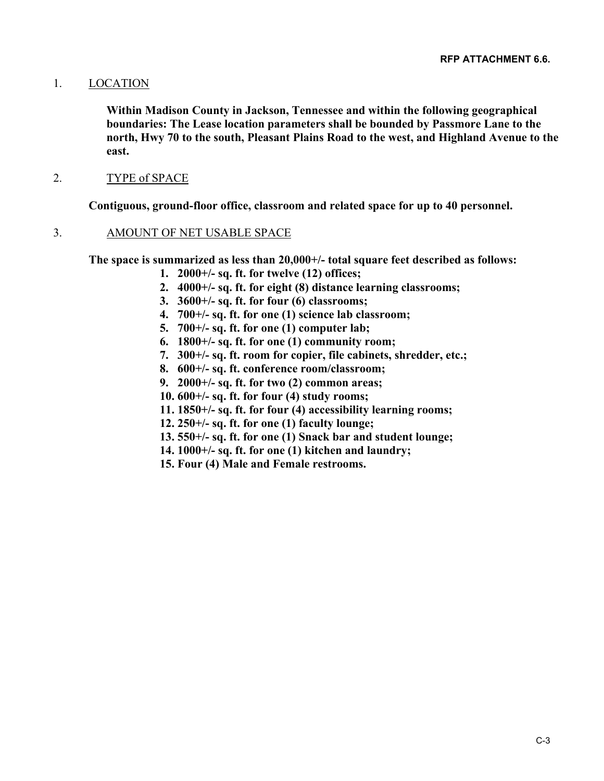## 1. LOCATION

**Within Madison County in Jackson, Tennessee and within the following geographical boundaries: The Lease location parameters shall be bounded by Passmore Lane to the north, Hwy 70 to the south, Pleasant Plains Road to the west, and Highland Avenue to the east.**

## 2. TYPE of SPACE

**Contiguous, ground-floor office, classroom and related space for up to 40 personnel.**

## 3. AMOUNT OF NET USABLE SPACE

**The space is summarized as less than 20,000+/- total square feet described as follows:**

- **1. 2000+/- sq. ft. for twelve (12) offices;**
- **2. 4000+/- sq. ft. for eight (8) distance learning classrooms;**
- **3. 3600+/- sq. ft. for four (6) classrooms;**
- **4. 700+/- sq. ft. for one (1) science lab classroom;**
- **5. 700+/- sq. ft. for one (1) computer lab;**
- **6. 1800+/- sq. ft. for one (1) community room;**
- **7. 300+/- sq. ft. room for copier, file cabinets, shredder, etc.;**
- **8. 600+/- sq. ft. conference room/classroom;**
- **9. 2000+/- sq. ft. for two (2) common areas;**
- **10. 600+/- sq. ft. for four (4) study rooms;**
- **11. 1850+/- sq. ft. for four (4) accessibility learning rooms;**
- **12. 250+/- sq. ft. for one (1) faculty lounge;**
- **13. 550+/- sq. ft. for one (1) Snack bar and student lounge;**
- **14. 1000+/- sq. ft. for one (1) kitchen and laundry;**
- **15. Four (4) Male and Female restrooms.**